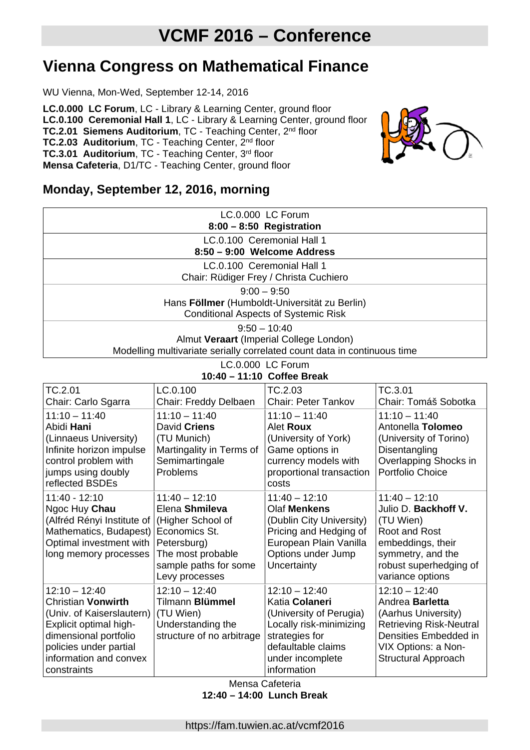# **Vienna Congress on Mathematical Finance**

WU Vienna, Mon-Wed, September 12-14, 2016

**LC.0.000 LC Forum**, LC - Library & Learning Center, ground floor **LC.0.100 Ceremonial Hall 1**, LC - Library & Learning Center, ground floor **TC.2.01 Siemens Auditorium, TC - Teaching Center, 2nd floor TC.2.03 Auditorium, TC - Teaching Center, 2nd floor TC.3.01 Auditorium**, TC - Teaching Center, 3rd floor **Mensa Cafeteria**, D1/TC - Teaching Center, ground floor



# **Monday, September 12, 2016, morning**

| LC.0.000 LC Forum<br>$8:00 - 8:50$ Registration                                                                                       |
|---------------------------------------------------------------------------------------------------------------------------------------|
| LC.0.100 Ceremonial Hall 1<br>8:50 - 9:00 Welcome Address                                                                             |
| LC.0.100 Ceremonial Hall 1<br>Chair: Rüdiger Frey / Christa Cuchiero                                                                  |
| $9:00 - 9:50$<br>Hans Föllmer (Humboldt-Universität zu Berlin)<br><b>Conditional Aspects of Systemic Risk</b>                         |
| $9:50 - 10:40$<br>Almut Veraart (Imperial College London)<br>Modelling multivariate serially correlated count data in continuous time |

#### LC.0.000 LC Forum **10:40 – 11:10 Coffee Break**

|                                                                                                                                                                                                 | $10.40 - 11.10$ Conce Dican                                                                                                                            |                                                                                                                                                                    |                                                                                                                                                                           |
|-------------------------------------------------------------------------------------------------------------------------------------------------------------------------------------------------|--------------------------------------------------------------------------------------------------------------------------------------------------------|--------------------------------------------------------------------------------------------------------------------------------------------------------------------|---------------------------------------------------------------------------------------------------------------------------------------------------------------------------|
| TC.2.01<br>Chair: Carlo Sgarra                                                                                                                                                                  | LC.0.100<br>Chair: Freddy Delbaen                                                                                                                      | TC.2.03<br><b>Chair: Peter Tankov</b>                                                                                                                              | TC.3.01<br>Chair: Tomáš Sobotka                                                                                                                                           |
| $11:10 - 11:40$<br>Abidi Hani<br>(Linnaeus University)<br>Infinite horizon impulse<br>control problem with<br>jumps using doubly<br>reflected BSDEs                                             | $11:10 - 11:40$<br>David Criens<br>(TU Munich)<br>Martingality in Terms of<br>Semimartingale<br>Problems                                               | $11:10 - 11:40$<br>Alet <b>Roux</b><br>(University of York)<br>Game options in<br>currency models with<br>proportional transaction<br>costs                        | $11:10 - 11:40$<br>Antonella Tolomeo<br>(University of Torino)<br>Disentangling<br>Overlapping Shocks in<br>Portfolio Choice                                              |
| 11:40 - 12:10<br>Ngoc Huy Chau<br>(Alfréd Rényi Institute of  <br>Mathematics, Budapest)<br>Optimal investment with<br>long memory processes                                                    | $11:40 - 12:10$<br>Elena Shmileva<br>(Higher School of<br>Economics St.<br>Petersburg)<br>The most probable<br>sample paths for some<br>Levy processes | $11:40 - 12:10$<br>Olaf Menkens<br>(Dublin City University)<br>Pricing and Hedging of<br>European Plain Vanilla<br>Options under Jump<br>Uncertainty               | $11:40 - 12:10$<br>Julio D. Backhoff V.<br>(TU Wien)<br>Root and Rost<br>embeddings, their<br>symmetry, and the<br>robust superhedging of<br>variance options             |
| $12:10 - 12:40$<br><b>Christian Vonwirth</b><br>(Univ. of Kaiserslautern)<br>Explicit optimal high-<br>dimensional portfolio<br>policies under partial<br>information and convex<br>constraints | $12:10 - 12:40$<br>Tilmann Blümmel<br>(TU Wien)<br>Understanding the<br>structure of no arbitrage                                                      | $12:10 - 12:40$<br>Katia Colaneri<br>(University of Perugia)<br>Locally risk-minimizing<br>strategies for<br>defaultable claims<br>under incomplete<br>information | $12:10 - 12:40$<br>Andrea Barletta<br>(Aarhus University)<br><b>Retrieving Risk-Neutral</b><br>Densities Embedded in<br>VIX Options: a Non-<br><b>Structural Approach</b> |

Mensa Cafeteria **12:40 – 14:00 Lunch Break**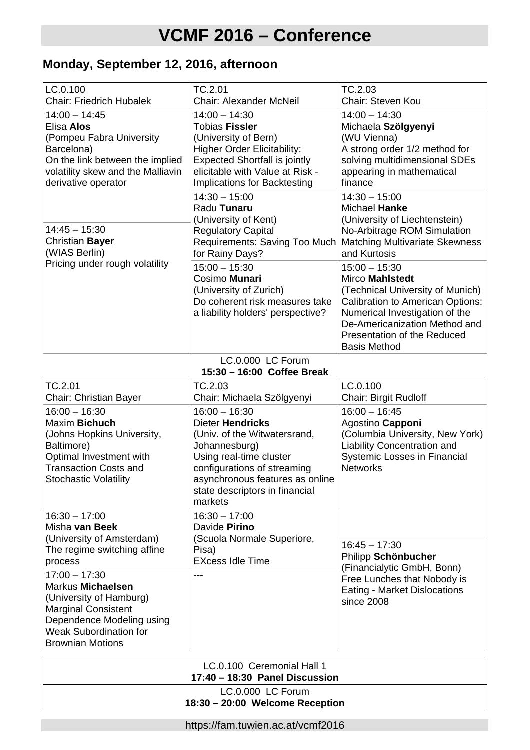# **Monday, September 12, 2016, afternoon**

| LC.0.100<br><b>Chair: Friedrich Hubalek</b>                                                                                                                            | TC.2.01<br><b>Chair: Alexander McNeil</b>                                                                                                                                                                         | TC.2.03<br>Chair: Steven Kou                                                                                                                                                                                                                      |
|------------------------------------------------------------------------------------------------------------------------------------------------------------------------|-------------------------------------------------------------------------------------------------------------------------------------------------------------------------------------------------------------------|---------------------------------------------------------------------------------------------------------------------------------------------------------------------------------------------------------------------------------------------------|
| $14:00 - 14:45$<br>Elisa Alos<br>(Pompeu Fabra University<br>Barcelona)<br>On the link between the implied<br>volatility skew and the Malliavin<br>derivative operator | $14:00 - 14:30$<br><b>Tobias Fissler</b><br>(University of Bern)<br><b>Higher Order Elicitability:</b><br><b>Expected Shortfall is jointly</b><br>elicitable with Value at Risk -<br>Implications for Backtesting | $14:00 - 14:30$<br>Michaela Szölgyenyi<br>(WU Vienna)<br>A strong order 1/2 method for<br>solving multidimensional SDEs<br>appearing in mathematical<br>finance                                                                                   |
| $14:45 - 15:30$<br>Christian Bayer<br>(WIAS Berlin)                                                                                                                    | $14:30 - 15:00$<br>Radu Tunaru<br>(University of Kent)<br><b>Regulatory Capital</b><br>Requirements: Saving Too Much  <br>for Rainy Days?                                                                         | $14:30 - 15:00$<br>Michael Hanke<br>(University of Liechtenstein)<br>No-Arbitrage ROM Simulation<br><b>Matching Multivariate Skewness</b><br>and Kurtosis                                                                                         |
| Pricing under rough volatility                                                                                                                                         | $15:00 - 15:30$<br>Cosimo Munari<br>(University of Zurich)<br>Do coherent risk measures take<br>a liability holders' perspective?                                                                                 | $15:00 - 15:30$<br><b>Mirco Mahlstedt</b><br>(Technical University of Munich)<br><b>Calibration to American Options:</b><br>Numerical Investigation of the<br>De-Americanization Method and<br>Presentation of the Reduced<br><b>Basis Method</b> |

LC.0.000 LC Forum **15:30 – 16:00 Coffee Break**

|                                                                                                                                                                                        | $13.30 - 10.00$ Correct Digate                                                                                                                                                                                                        |                                                                                                                                                                 |
|----------------------------------------------------------------------------------------------------------------------------------------------------------------------------------------|---------------------------------------------------------------------------------------------------------------------------------------------------------------------------------------------------------------------------------------|-----------------------------------------------------------------------------------------------------------------------------------------------------------------|
| TC.2.01<br><b>Chair: Christian Bayer</b>                                                                                                                                               | TC.2.03<br>Chair: Michaela Szölgyenyi                                                                                                                                                                                                 | LC.0.100<br><b>Chair: Birgit Rudloff</b>                                                                                                                        |
| $16:00 - 16:30$<br>Maxim Bichuch<br>(Johns Hopkins University,<br>Baltimore)<br>Optimal Investment with<br><b>Transaction Costs and</b><br><b>Stochastic Volatility</b>                | $16:00 - 16:30$<br><b>Dieter Hendricks</b><br>(Univ. of the Witwatersrand,<br>Johannesburg)<br>Using real-time cluster<br>configurations of streaming<br>asynchronous features as online<br>state descriptors in financial<br>markets | $16:00 - 16:45$<br>Agostino Capponi<br>(Columbia University, New York)<br><b>Liability Concentration and</b><br>Systemic Losses in Financial<br><b>Networks</b> |
| $16:30 - 17:00$<br>Misha van Beek<br>(University of Amsterdam)<br>The regime switching affine<br>process                                                                               | $16:30 - 17:00$<br>Davide Pirino<br>(Scuola Normale Superiore,<br>Pisa)<br><b>EXcess Idle Time</b>                                                                                                                                    | $16:45 - 17:30$<br>Philipp Schönbucher                                                                                                                          |
| $17:00 - 17:30$<br>Markus Michaelsen<br>(University of Hamburg)<br><b>Marginal Consistent</b><br>Dependence Modeling using<br><b>Weak Subordination for</b><br><b>Brownian Motions</b> |                                                                                                                                                                                                                                       | (Financialytic GmbH, Bonn)<br>Free Lunches that Nobody is<br>Eating - Market Dislocations<br>since 2008                                                         |

| LC.0.100 Ceremonial Hall 1<br>17:40 - 18:30 Panel Discussion |  |
|--------------------------------------------------------------|--|
| LC.0.000 LC Forum<br>18:30 - 20:00 Welcome Reception         |  |

https://fam.tuwien.ac.at/vcmf2016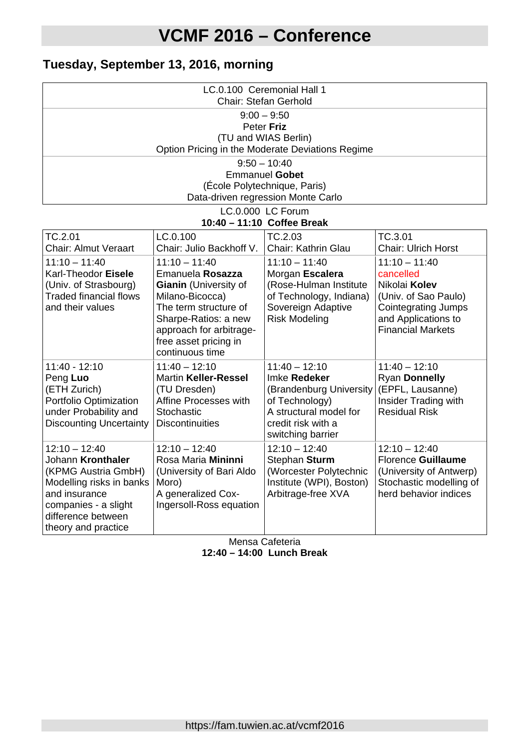# **Tuesday, September 13, 2016, morning**

| LC.0.100 Ceremonial Hall 1<br>Chair: Stefan Gerhold                    |                                               |                                                       |                                                    |
|------------------------------------------------------------------------|-----------------------------------------------|-------------------------------------------------------|----------------------------------------------------|
| $9:00 - 9:50$                                                          |                                               |                                                       |                                                    |
| Peter Friz                                                             |                                               |                                                       |                                                    |
|                                                                        |                                               | (TU and WIAS Berlin)                                  |                                                    |
|                                                                        |                                               | Option Pricing in the Moderate Deviations Regime      |                                                    |
|                                                                        |                                               | $9:50 - 10:40$                                        |                                                    |
|                                                                        |                                               | <b>Emmanuel Gobet</b><br>(École Polytechnique, Paris) |                                                    |
|                                                                        |                                               | Data-driven regression Monte Carlo                    |                                                    |
|                                                                        |                                               | LC.0.000 LC Forum                                     |                                                    |
|                                                                        |                                               | 10:40 - 11:10 Coffee Break                            |                                                    |
| TC.2.01                                                                | LC.0.100                                      | TC.2.03                                               | TC.3.01                                            |
| <b>Chair: Almut Veraart</b>                                            | Chair: Julio Backhoff V.                      | Chair: Kathrin Glau                                   | <b>Chair: Ulrich Horst</b>                         |
| $11:10 - 11:40$                                                        | $11:10 - 11:40$                               | $11:10 - 11:40$                                       | $11:10 - 11:40$                                    |
| Karl-Theodor Eisele                                                    | Emanuela Rosazza                              | Morgan Escalera                                       | cancelled                                          |
| (Univ. of Strasbourg)<br><b>Traded financial flows</b>                 | <b>Gianin</b> (University of                  | (Rose-Hulman Institute                                | Nikolai Kolev                                      |
| and their values                                                       | Milano-Bicocca)<br>The term structure of      | of Technology, Indiana)<br>Sovereign Adaptive         | (Univ. of Sao Paulo)<br><b>Cointegrating Jumps</b> |
|                                                                        | Sharpe-Ratios: a new                          | <b>Risk Modeling</b>                                  | and Applications to                                |
|                                                                        | approach for arbitrage-                       |                                                       | <b>Financial Markets</b>                           |
|                                                                        | free asset pricing in                         |                                                       |                                                    |
|                                                                        | continuous time                               |                                                       |                                                    |
| $11:40 - 12:10$<br>11:40 - 12:10<br>$11:40 - 12:10$<br>$11:40 - 12:10$ |                                               |                                                       |                                                    |
| Peng Luo                                                               | <b>Martin Keller-Ressel</b>                   | Imke Redeker                                          | Ryan Donnelly                                      |
| (ETH Zurich)                                                           | (TU Dresden)                                  | (Brandenburg University                               | (EPFL, Lausanne)                                   |
| Portfolio Optimization<br>under Probability and                        | Affine Processes with<br>Stochastic           | of Technology)<br>A structural model for              | Insider Trading with<br><b>Residual Risk</b>       |
| <b>Discounting Uncertainty</b>                                         | <b>Discontinuities</b>                        | credit risk with a                                    |                                                    |
|                                                                        |                                               | switching barrier                                     |                                                    |
| $12:10 - 12:40$                                                        | $12:10 - 12:40$                               | $12:10 - 12:40$                                       | $12:10 - 12:40$                                    |
| Johann Kronthaler                                                      | Rosa Maria Mininni                            | Stephan Sturm                                         | <b>Florence Guillaume</b>                          |
| (KPMG Austria GmbH)                                                    | (University of Bari Aldo                      | (Worcester Polytechnic                                | (University of Antwerp)                            |
| Modelling risks in banks                                               | Moro)                                         | Institute (WPI), Boston)                              | Stochastic modelling of<br>herd behavior indices   |
| and insurance<br>companies - a slight                                  | A generalized Cox-<br>Ingersoll-Ross equation | Arbitrage-free XVA                                    |                                                    |
| difference between                                                     |                                               |                                                       |                                                    |
| theory and practice                                                    |                                               |                                                       |                                                    |

Mensa Cafeteria **12:40 – 14:00 Lunch Break**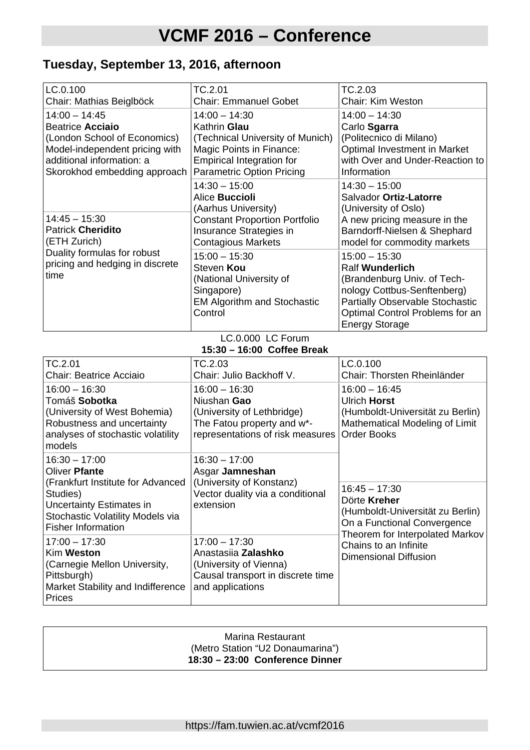# **Tuesday, September 13, 2016, afternoon**

| LC.0.100<br>Chair: Mathias Beiglböck                                                                                                                                      | TC.2.01<br><b>Chair: Emmanuel Gobet</b>                                                                                                                                 | TC.2.03<br><b>Chair: Kim Weston</b>                                                                                                                                                                           |
|---------------------------------------------------------------------------------------------------------------------------------------------------------------------------|-------------------------------------------------------------------------------------------------------------------------------------------------------------------------|---------------------------------------------------------------------------------------------------------------------------------------------------------------------------------------------------------------|
| $14:00 - 14:45$<br><b>Beatrice Acciaio</b><br>(London School of Economics)<br>Model-independent pricing with<br>additional information: a<br>Skorokhod embedding approach | $14:00 - 14:30$<br>Kathrin Glau<br>(Technical University of Munich)<br>Magic Points in Finance:<br><b>Empirical Integration for</b><br><b>Parametric Option Pricing</b> | $14:00 - 14:30$<br>Carlo Sgarra<br>(Politecnico di Milano)<br>Optimal Investment in Market<br>with Over and Under-Reaction to<br>Information                                                                  |
| $14:45 - 15:30$<br><b>Patrick Cheridito</b><br>(ETH Zurich)                                                                                                               | $14:30 - 15:00$<br>Alice Buccioli<br>(Aarhus University)<br><b>Constant Proportion Portfolio</b><br>Insurance Strategies in<br><b>Contagious Markets</b>                | $14:30 - 15:00$<br>Salvador Ortiz-Latorre<br>(University of Oslo)<br>A new pricing measure in the<br>Barndorff-Nielsen & Shephard<br>model for commodity markets                                              |
| Duality formulas for robust<br>pricing and hedging in discrete<br>time                                                                                                    | $15:00 - 15:30$<br>Steven Kou<br>(National University of<br>Singapore)<br><b>EM Algorithm and Stochastic</b><br>Control                                                 | $15:00 - 15:30$<br><b>Ralf Wunderlich</b><br>(Brandenburg Univ. of Tech-<br>nology Cottbus-Senftenberg)<br><b>Partially Observable Stochastic</b><br>Optimal Control Problems for an<br><b>Energy Storage</b> |

#### LC.0.000 LC Forum **15:30 – 16:00 Coffee Break**

| TC.2.01<br>Chair: Beatrice Acciaio                                                                                                                                             | TC.2.03<br>Chair: Julio Backhoff V.                                                                                            | LC.0.100<br>Chair: Thorsten Rheinländer                                                                                               |
|--------------------------------------------------------------------------------------------------------------------------------------------------------------------------------|--------------------------------------------------------------------------------------------------------------------------------|---------------------------------------------------------------------------------------------------------------------------------------|
| $16:00 - 16:30$<br>Tomáš Sobotka<br>(University of West Bohemia)<br>Robustness and uncertainty<br>analyses of stochastic volatility<br>models                                  | $16:00 - 16:30$<br>Niushan Gao<br>(University of Lethbridge)<br>The Fatou property and w*-<br>representations of risk measures | $16:00 - 16:45$<br><b>Ulrich Horst</b><br>(Humboldt-Universität zu Berlin)<br>Mathematical Modeling of Limit<br><b>Order Books</b>    |
| $16:30 - 17:00$<br>Oliver Pfante<br>(Frankfurt Institute for Advanced<br>Studies)<br>Uncertainty Estimates in<br>Stochastic Volatility Models via<br><b>Fisher Information</b> | $16:30 - 17:00$<br>Asgar Jamneshan<br>(University of Konstanz)<br>Vector duality via a conditional<br>extension                | $16:45 - 17:30$<br>Dörte Kreher<br>(Humboldt-Universität zu Berlin)<br>On a Functional Convergence<br>Theorem for Interpolated Markov |
| $17:00 - 17:30$<br>Kim Weston<br>(Carnegie Mellon University,<br>Pittsburgh)<br>Market Stability and Indifference<br>Prices                                                    | $17:00 - 17:30$<br>Anastasiia Zalashko<br>(University of Vienna)<br>Causal transport in discrete time<br>and applications      | Chains to an Infinite<br><b>Dimensional Diffusion</b>                                                                                 |

| Marina Restaurant                |  |
|----------------------------------|--|
| (Metro Station "U2 Donaumarina") |  |
| 18:30 - 23:00 Conference Dinner  |  |
|                                  |  |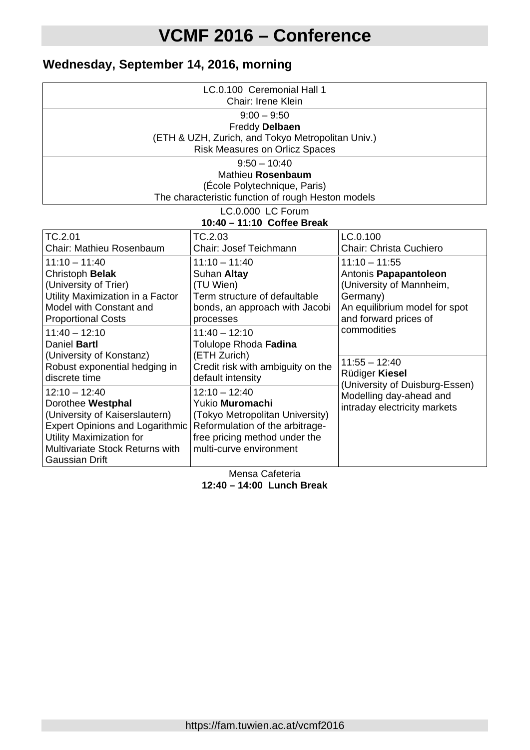# **Wednesday, September 14, 2016, morning**

| LC.0.100 Ceremonial Hall 1<br>Chair: Irene Klein                                                                                                                                                                |                                                                                                                                                                      |                                                                                                                                                           |  |
|-----------------------------------------------------------------------------------------------------------------------------------------------------------------------------------------------------------------|----------------------------------------------------------------------------------------------------------------------------------------------------------------------|-----------------------------------------------------------------------------------------------------------------------------------------------------------|--|
| $9:00 - 9:50$<br>Freddy Delbaen<br>(ETH & UZH, Zurich, and Tokyo Metropolitan Univ.)<br><b>Risk Measures on Orlicz Spaces</b>                                                                                   |                                                                                                                                                                      |                                                                                                                                                           |  |
|                                                                                                                                                                                                                 | $9:50 - 10:40$<br>Mathieu Rosenbaum<br>(École Polytechnique, Paris)<br>The characteristic function of rough Heston models                                            |                                                                                                                                                           |  |
|                                                                                                                                                                                                                 | LC.0.000 LC Forum<br>10:40 - 11:10 Coffee Break                                                                                                                      |                                                                                                                                                           |  |
| TC.2.01<br>Chair: Mathieu Rosenbaum                                                                                                                                                                             | TC.2.03<br>Chair: Josef Teichmann                                                                                                                                    | LC.0.100<br>Chair: Christa Cuchiero                                                                                                                       |  |
| $11:10 - 11:40$<br>Christoph Belak<br>(University of Trier)<br>Utility Maximization in a Factor<br>Model with Constant and<br><b>Proportional Costs</b><br>$11:40 - 12:10$                                      | $11:10 - 11:40$<br>Suhan Altay<br>(TU Wien)<br>Term structure of defaultable<br>bonds, an approach with Jacobi<br>processes<br>$11:40 - 12:10$                       | $11:10 - 11:55$<br>Antonis Papapantoleon<br>(University of Mannheim,<br>Germany)<br>An equilibrium model for spot<br>and forward prices of<br>commodities |  |
| Daniel Bartl<br>(University of Konstanz)<br>Robust exponential hedging in<br>discrete time                                                                                                                      | Tolulope Rhoda Fadina<br>(ETH Zurich)<br>Credit risk with ambiguity on the<br>default intensity                                                                      | $11:55 - 12:40$<br>Rüdiger Kiesel                                                                                                                         |  |
| $12:10 - 12:40$<br>Dorothee Westphal<br>(University of Kaiserslautern)<br><b>Expert Opinions and Logarithmic</b><br>Utility Maximization for<br><b>Multivariate Stock Returns with</b><br><b>Gaussian Drift</b> | $12:10 - 12:40$<br>Yukio Muromachi<br>(Tokyo Metropolitan University)<br>Reformulation of the arbitrage-<br>free pricing method under the<br>multi-curve environment | (University of Duisburg-Essen)<br>Modelling day-ahead and<br>intraday electricity markets                                                                 |  |

Mensa Cafeteria **12:40 – 14:00 Lunch Break**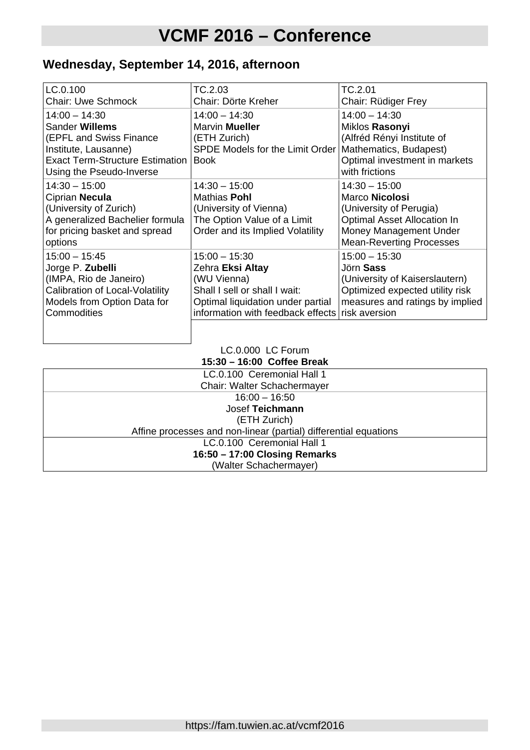# **Wednesday, September 14, 2016, afternoon**

| LC.0.100                                 | TC.2.03                                         | TC.2.01                         |
|------------------------------------------|-------------------------------------------------|---------------------------------|
| <b>Chair: Uwe Schmock</b>                | Chair: Dörte Kreher                             | Chair: Rüdiger Frey             |
| $14:00 - 14:30$                          | $14:00 - 14:30$                                 | $14:00 - 14:30$                 |
| Sander Willems                           | Marvin <b>Mueller</b>                           | Miklos Rasonyi                  |
| (EPFL and Swiss Finance                  | (ETH Zurich)                                    | (Alfréd Rényi Institute of      |
| Institute, Lausanne)                     | <b>SPDE Models for the Limit Order I</b>        | Mathematics, Budapest)          |
| <b>Exact Term-Structure Estimation  </b> | <b>Book</b>                                     | Optimal investment in markets   |
| Using the Pseudo-Inverse                 |                                                 | with frictions                  |
| $14:30 - 15:00$                          | $14:30 - 15:00$                                 | $14:30 - 15:00$                 |
| Ciprian Necula                           | <b>Mathias Pohl</b>                             | Marco Nicolosi                  |
| (University of Zurich)                   | (University of Vienna)                          | (University of Perugia)         |
| A generalized Bachelier formula          | The Option Value of a Limit                     | Optimal Asset Allocation In     |
| for pricing basket and spread            | Order and its Implied Volatility                | Money Management Under          |
| options                                  |                                                 | <b>Mean-Reverting Processes</b> |
| $15:00 - 15:45$                          | $15:00 - 15:30$                                 | $15:00 - 15:30$                 |
| Jorge P. Zubelli                         | Zehra Eksi Altay                                | Jörn Sass                       |
| (IMPA, Rio de Janeiro)                   | (WU Vienna)                                     | (University of Kaiserslautern)  |
| Calibration of Local-Volatility          | Shall I sell or shall I wait:                   | Optimized expected utility risk |
| Models from Option Data for              | Optimal liquidation under partial               | measures and ratings by implied |
| Commodities                              | information with feedback effects risk aversion |                                 |
|                                          |                                                 |                                 |

#### LC.0.000 LC Forum **15:30 – 16:00 Coffee Break**

| LC.0.100 Ceremonial Hall 1<br>Chair: Walter Schachermayer        |
|------------------------------------------------------------------|
| $16:00 - 16:50$                                                  |
| Josef Teichmann                                                  |
| (ETH Zurich)                                                     |
| Affine processes and non-linear (partial) differential equations |
| LC.0.100 Ceremonial Hall 1                                       |
| 16:50 - 17:00 Closing Remarks                                    |
| (Walter Schachermayer)                                           |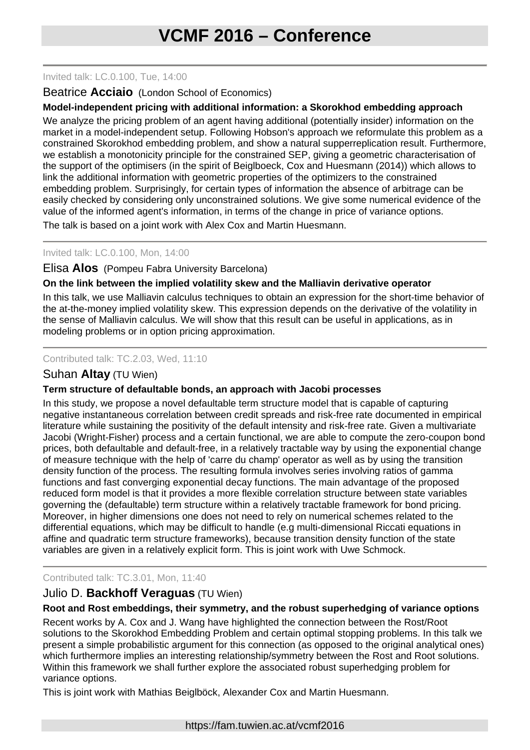#### Invited talk: LC.0.100, Tue, 14:00

## Beatrice **Acciaio** (London School of Economics)

### **Model-independent pricing with additional information: a Skorokhod embedding approach**

We analyze the pricing problem of an agent having additional (potentially insider) information on the market in a model-independent setup. Following Hobson's approach we reformulate this problem as a constrained Skorokhod embedding problem, and show a natural supperreplication result. Furthermore, we establish a monotonicity principle for the constrained SEP, giving a geometric characterisation of the support of the optimisers (in the spirit of Beiglboeck, Cox and Huesmann (2014)) which allows to link the additional information with geometric properties of the optimizers to the constrained embedding problem. Surprisingly, for certain types of information the absence of arbitrage can be easily checked by considering only unconstrained solutions. We give some numerical evidence of the value of the informed agent's information, in terms of the change in price of variance options.

The talk is based on a joint work with Alex Cox and Martin Huesmann.

# Invited talk: LC.0.100, Mon, 14:00

# Elisa **Alos** (Pompeu Fabra University Barcelona)

# **On the link between the implied volatility skew and the Malliavin derivative operator**

In this talk, we use Malliavin calculus techniques to obtain an expression for the short-time behavior of the at-the-money implied volatility skew. This expression depends on the derivative of the volatility in the sense of Malliavin calculus. We will show that this result can be useful in applications, as in modeling problems or in option pricing approximation.

#### Contributed talk: TC.2.03, Wed, 11:10

# Suhan **Altay** (TU Wien)

# **Term structure of defaultable bonds, an approach with Jacobi processes**

In this study, we propose a novel defaultable term structure model that is capable of capturing negative instantaneous correlation between credit spreads and risk-free rate documented in empirical literature while sustaining the positivity of the default intensity and risk-free rate. Given a multivariate Jacobi (Wright-Fisher) process and a certain functional, we are able to compute the zero-coupon bond prices, both defaultable and default-free, in a relatively tractable way by using the exponential change of measure technique with the help of 'carre du champ' operator as well as by using the transition density function of the process. The resulting formula involves series involving ratios of gamma functions and fast converging exponential decay functions. The main advantage of the proposed reduced form model is that it provides a more flexible correlation structure between state variables governing the (defaultable) term structure within a relatively tractable framework for bond pricing. Moreover, in higher dimensions one does not need to rely on numerical schemes related to the differential equations, which may be difficult to handle (e.g multi-dimensional Riccati equations in affine and quadratic term structure frameworks), because transition density function of the state variables are given in a relatively explicit form. This is joint work with Uwe Schmock.

# Contributed talk: TC.3.01, Mon, 11:40

# Julio D. **Backhoff Veraguas** (TU Wien)

#### **Root and Rost embeddings, their symmetry, and the robust superhedging of variance options**

Recent works by A. Cox and J. Wang have highlighted the connection between the Rost/Root solutions to the Skorokhod Embedding Problem and certain optimal stopping problems. In this talk we present a simple probabilistic argument for this connection (as opposed to the original analytical ones) which furthermore implies an interesting relationship/symmetry between the Rost and Root solutions. Within this framework we shall further explore the associated robust superhedging problem for variance options.

This is joint work with Mathias Beiglböck, Alexander Cox and Martin Huesmann.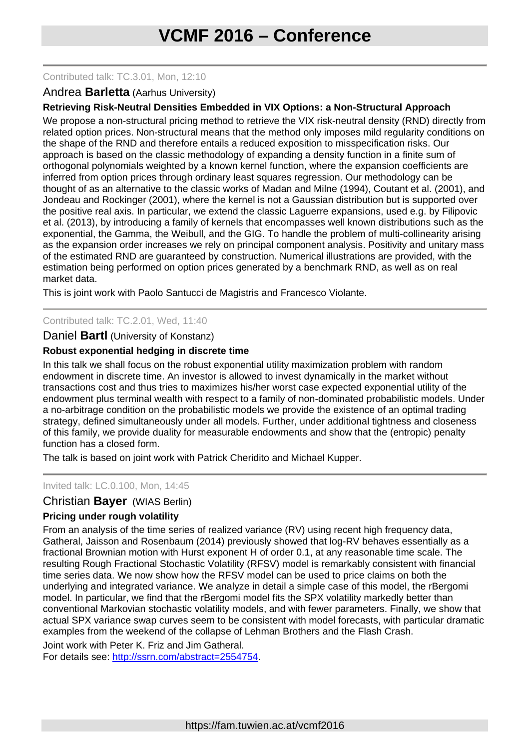#### Contributed talk: TC.3.01, Mon, 12:10

### Andrea **Barletta** (Aarhus University)

# **Retrieving Risk-Neutral Densities Embedded in VIX Options: a Non-Structural Approach**

We propose a non-structural pricing method to retrieve the VIX risk-neutral density (RND) directly from related option prices. Non-structural means that the method only imposes mild regularity conditions on the shape of the RND and therefore entails a reduced exposition to misspecification risks. Our approach is based on the classic methodology of expanding a density function in a finite sum of orthogonal polynomials weighted by a known kernel function, where the expansion coefficients are inferred from option prices through ordinary least squares regression. Our methodology can be thought of as an alternative to the classic works of Madan and Milne (1994), Coutant et al. (2001), and Jondeau and Rockinger (2001), where the kernel is not a Gaussian distribution but is supported over the positive real axis. In particular, we extend the classic Laguerre expansions, used e.g. by Filipovic et al. (2013), by introducing a family of kernels that encompasses well known distributions such as the exponential, the Gamma, the Weibull, and the GIG. To handle the problem of multi-collinearity arising as the expansion order increases we rely on principal component analysis. Positivity and unitary mass of the estimated RND are guaranteed by construction. Numerical illustrations are provided, with the estimation being performed on option prices generated by a benchmark RND, as well as on real market data.

This is joint work with Paolo Santucci de Magistris and Francesco Violante.

#### Contributed talk: TC.2.01, Wed, 11:40

#### Daniel **Bartl** (University of Konstanz)

#### **Robust exponential hedging in discrete time**

In this talk we shall focus on the robust exponential utility maximization problem with random endowment in discrete time. An investor is allowed to invest dynamically in the market without transactions cost and thus tries to maximizes his/her worst case expected exponential utility of the endowment plus terminal wealth with respect to a family of non-dominated probabilistic models. Under a no-arbitrage condition on the probabilistic models we provide the existence of an optimal trading strategy, defined simultaneously under all models. Further, under additional tightness and closeness of this family, we provide duality for measurable endowments and show that the (entropic) penalty function has a closed form.

The talk is based on joint work with Patrick Cheridito and Michael Kupper.

#### Invited talk: LC.0.100, Mon, 14:45

# Christian **Bayer** (WIAS Berlin)

#### **Pricing under rough volatility**

From an analysis of the time series of realized variance (RV) using recent high frequency data, Gatheral, Jaisson and Rosenbaum (2014) previously showed that log-RV behaves essentially as a fractional Brownian motion with Hurst exponent H of order 0.1, at any reasonable time scale. The resulting Rough Fractional Stochastic Volatility (RFSV) model is remarkably consistent with financial time series data. We now show how the RFSV model can be used to price claims on both the underlying and integrated variance. We analyze in detail a simple case of this model, the rBergomi model. In particular, we find that the rBergomi model fits the SPX volatility markedly better than conventional Markovian stochastic volatility models, and with fewer parameters. Finally, we show that actual SPX variance swap curves seem to be consistent with model forecasts, with particular dramatic examples from the weekend of the collapse of Lehman Brothers and the Flash Crash.

Joint work with Peter K. Friz and Jim Gatheral. For details see: [http://ssrn.com/abstract=2554754.](http://ssrn.com/abstract=2554754)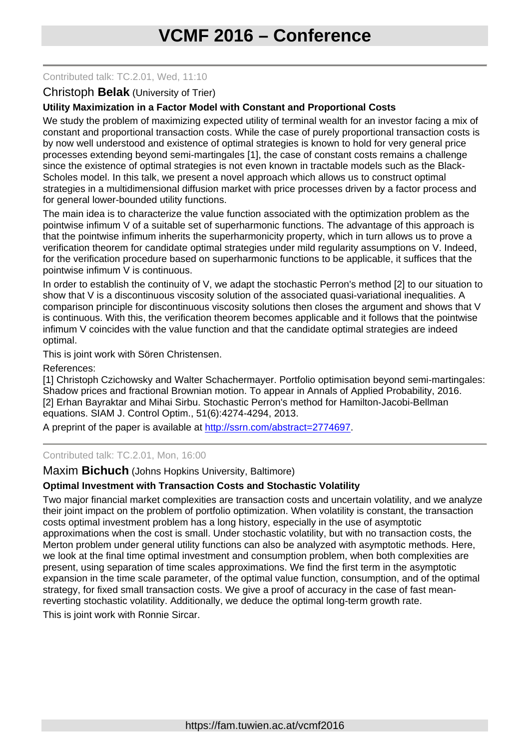#### Contributed talk: TC.2.01, Wed, 11:10

### Christoph **Belak** (University of Trier)

### **Utility Maximization in a Factor Model with Constant and Proportional Costs**

We study the problem of maximizing expected utility of terminal wealth for an investor facing a mix of constant and proportional transaction costs. While the case of purely proportional transaction costs is by now well understood and existence of optimal strategies is known to hold for very general price processes extending beyond semi-martingales [1], the case of constant costs remains a challenge since the existence of optimal strategies is not even known in tractable models such as the Black-Scholes model. In this talk, we present a novel approach which allows us to construct optimal strategies in a multidimensional diffusion market with price processes driven by a factor process and for general lower-bounded utility functions.

The main idea is to characterize the value function associated with the optimization problem as the pointwise infimum V of a suitable set of superharmonic functions. The advantage of this approach is that the pointwise infimum inherits the superharmonicity property, which in turn allows us to prove a verification theorem for candidate optimal strategies under mild regularity assumptions on V. Indeed, for the verification procedure based on superharmonic functions to be applicable, it suffices that the pointwise infimum V is continuous.

In order to establish the continuity of V, we adapt the stochastic Perron's method [2] to our situation to show that V is a discontinuous viscosity solution of the associated quasi-variational inequalities. A comparison principle for discontinuous viscosity solutions then closes the argument and shows that V is continuous. With this, the verification theorem becomes applicable and it follows that the pointwise infimum V coincides with the value function and that the candidate optimal strategies are indeed optimal.

This is joint work with Sören Christensen.

References:

[1] Christoph Czichowsky and Walter Schachermayer. Portfolio optimisation beyond semi-martingales: Shadow prices and fractional Brownian motion. To appear in Annals of Applied Probability, 2016. [2] Erhan Bayraktar and Mihai Sirbu. Stochastic Perron's method for Hamilton-Jacobi-Bellman equations. SIAM J. Control Optim., 51(6):4274-4294, 2013.

A preprint of the paper is available at [http://ssrn.com/abstract=2774697.](http://ssrn.com/abstract=2774697)

#### Contributed talk: TC.2.01, Mon, 16:00

Maxim **Bichuch** (Johns Hopkins University, Baltimore)

#### **Optimal Investment with Transaction Costs and Stochastic Volatility**

Two major financial market complexities are transaction costs and uncertain volatility, and we analyze their joint impact on the problem of portfolio optimization. When volatility is constant, the transaction costs optimal investment problem has a long history, especially in the use of asymptotic approximations when the cost is small. Under stochastic volatility, but with no transaction costs, the Merton problem under general utility functions can also be analyzed with asymptotic methods. Here, we look at the final time optimal investment and consumption problem, when both complexities are present, using separation of time scales approximations. We find the first term in the asymptotic expansion in the time scale parameter, of the optimal value function, consumption, and of the optimal strategy, for fixed small transaction costs. We give a proof of accuracy in the case of fast meanreverting stochastic volatility. Additionally, we deduce the optimal long-term growth rate.

This is joint work with Ronnie Sircar.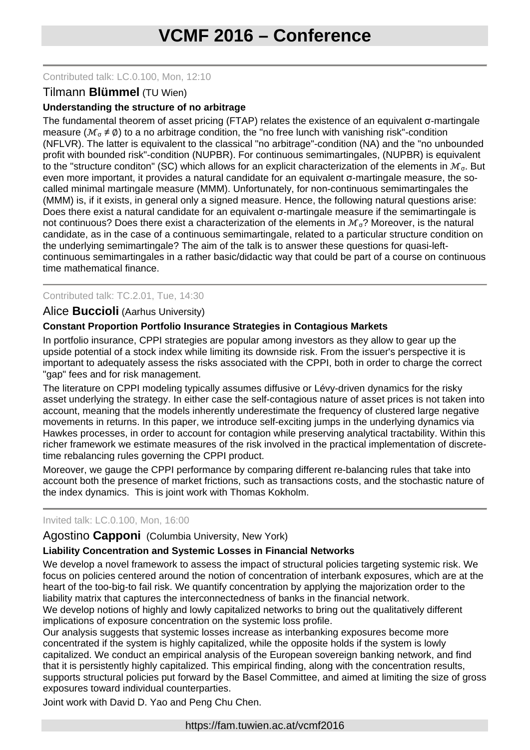### Contributed talk: LC.0.100, Mon, 12:10

# Tilmann **Blümmel** (TU Wien)

# **Understanding the structure of no arbitrage**

The fundamental theorem of asset pricing (FTAP) relates the existence of an equivalent σ-martingale measure ( $\mathcal{M}_{\alpha} \neq \emptyset$ ) to a no arbitrage condition, the "no free lunch with vanishing risk"-condition (NFLVR). The latter is equivalent to the classical "no arbitrage"-condition (NA) and the "no unbounded profit with bounded risk"-condition (NUPBR). For continuous semimartingales, (NUPBR) is equivalent to the "structure conditon" (SC) which allows for an explicit characterization of the elements in  $\mathcal{M}_{\sigma}$ . But even more important, it provides a natural candidate for an equivalent σ-martingale measure, the socalled minimal martingale measure (MMM). Unfortunately, for non-continuous semimartingales the (MMM) is, if it exists, in general only a signed measure. Hence, the following natural questions arise: Does there exist a natural candidate for an equivalent σ-martingale measure if the semimartingale is not continuous? Does there exist a characterization of the elements in  $\mathcal{M}_{\sigma}$ ? Moreover, is the natural candidate, as in the case of a continuous semimartingale, related to a particular structure condition on the underlying semimartingale? The aim of the talk is to answer these questions for quasi-leftcontinuous semimartingales in a rather basic/didactic way that could be part of a course on continuous time mathematical finance.

# Contributed talk: TC.2.01, Tue, 14:30

# Alice **Buccioli** (Aarhus University)

# **Constant Proportion Portfolio Insurance Strategies in Contagious Markets**

In portfolio insurance, CPPI strategies are popular among investors as they allow to gear up the upside potential of a stock index while limiting its downside risk. From the issuer's perspective it is important to adequately assess the risks associated with the CPPI, both in order to charge the correct "gap" fees and for risk management.

The literature on CPPI modeling typically assumes diffusive or Lévy-driven dynamics for the risky asset underlying the strategy. In either case the self-contagious nature of asset prices is not taken into account, meaning that the models inherently underestimate the frequency of clustered large negative movements in returns. In this paper, we introduce self-exciting jumps in the underlying dynamics via Hawkes processes, in order to account for contagion while preserving analytical tractability. Within this richer framework we estimate measures of the risk involved in the practical implementation of discretetime rebalancing rules governing the CPPI product.

Moreover, we gauge the CPPI performance by comparing different re-balancing rules that take into account both the presence of market frictions, such as transactions costs, and the stochastic nature of the index dynamics. This is joint work with Thomas Kokholm.

#### Invited talk: LC.0.100, Mon, 16:00

# Agostino **Capponi** (Columbia University, New York)

#### **Liability Concentration and Systemic Losses in Financial Networks**

We develop a novel framework to assess the impact of structural policies targeting systemic risk. We focus on policies centered around the notion of concentration of interbank exposures, which are at the heart of the too-big-to fail risk. We quantify concentration by applying the majorization order to the liability matrix that captures the interconnectedness of banks in the financial network.

We develop notions of highly and lowly capitalized networks to bring out the qualitatively different implications of exposure concentration on the systemic loss profile.

Our analysis suggests that systemic losses increase as interbanking exposures become more concentrated if the system is highly capitalized, while the opposite holds if the system is lowly capitalized. We conduct an empirical analysis of the European sovereign banking network, and find that it is persistently highly capitalized. This empirical finding, along with the concentration results, supports structural policies put forward by the Basel Committee, and aimed at limiting the size of gross exposures toward individual counterparties.

Joint work with David D. Yao and Peng Chu Chen.

https://fam.tuwien.ac.at/vcmf2016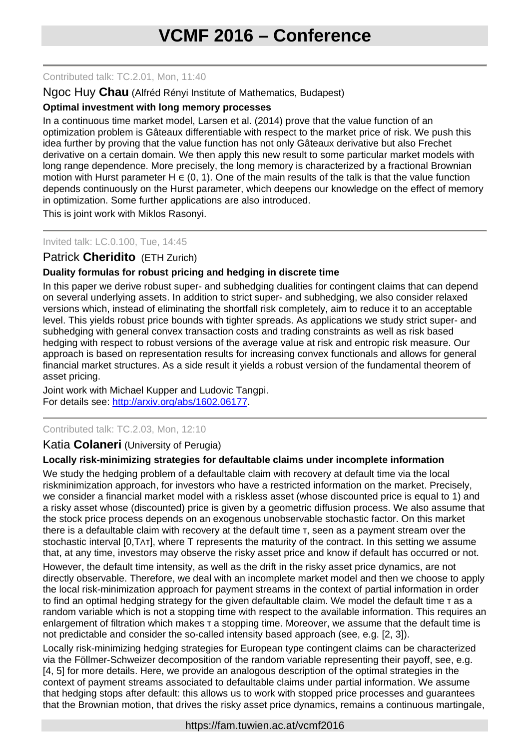Contributed talk: TC.2.01, Mon, 11:40

## Ngoc Huy **Chau** (Alfréd Rényi Institute of Mathematics, Budapest)

### **Optimal investment with long memory processes**

In a continuous time market model, Larsen et al. (2014) prove that the value function of an optimization problem is Gâteaux differentiable with respect to the market price of risk. We push this idea further by proving that the value function has not only Gâteaux derivative but also Frechet derivative on a certain domain. We then apply this new result to some particular market models with long range dependence. More precisely, the long memory is characterized by a fractional Brownian motion with Hurst parameter H  $\in$  (0, 1). One of the main results of the talk is that the value function depends continuously on the Hurst parameter, which deepens our knowledge on the effect of memory in optimization. Some further applications are also introduced.

This is joint work with Miklos Rasonyi.

#### Invited talk: LC.0.100, Tue, 14:45

# Patrick **Cheridito** (ETH Zurich)

# **Duality formulas for robust pricing and hedging in discrete time**

In this paper we derive robust super- and subhedging dualities for contingent claims that can depend on several underlying assets. In addition to strict super- and subhedging, we also consider relaxed versions which, instead of eliminating the shortfall risk completely, aim to reduce it to an acceptable level. This yields robust price bounds with tighter spreads. As applications we study strict super- and subhedging with general convex transaction costs and trading constraints as well as risk based hedging with respect to robust versions of the average value at risk and entropic risk measure. Our approach is based on representation results for increasing convex functionals and allows for general financial market structures. As a side result it yields a robust version of the fundamental theorem of asset pricing.

Joint work with Michael Kupper and Ludovic Tangpi. For details see: [http://arxiv.org/abs/1602.06177.](http://arxiv.org/abs/1602.06177)

#### Contributed talk: TC.2.03, Mon, 12:10

#### Katia **Colaneri** (University of Perugia)

# **Locally risk-minimizing strategies for defaultable claims under incomplete information**

We study the hedging problem of a defaultable claim with recovery at default time via the local riskminimization approach, for investors who have a restricted information on the market. Precisely, we consider a financial market model with a riskless asset (whose discounted price is equal to 1) and a risky asset whose (discounted) price is given by a geometric diffusion process. We also assume that the stock price process depends on an exogenous unobservable stochastic factor. On this market there is a defaultable claim with recovery at the default time τ, seen as a payment stream over the stochastic interval [0,T∧τ], where T represents the maturity of the contract. In this setting we assume that, at any time, investors may observe the risky asset price and know if default has occurred or not.

However, the default time intensity, as well as the drift in the risky asset price dynamics, are not directly observable. Therefore, we deal with an incomplete market model and then we choose to apply the local risk-minimization approach for payment streams in the context of partial information in order to find an optimal hedging strategy for the given defaultable claim. We model the default time τ as a random variable which is not a stopping time with respect to the available information. This requires an enlargement of filtration which makes τ a stopping time. Moreover, we assume that the default time is not predictable and consider the so-called intensity based approach (see, e.g. [2, 3]).

Locally risk-minimizing hedging strategies for European type contingent claims can be characterized via the Föllmer-Schweizer decomposition of the random variable representing their payoff, see, e.g. [4, 5] for more details. Here, we provide an analogous description of the optimal strategies in the context of payment streams associated to defaultable claims under partial information. We assume that hedging stops after default: this allows us to work with stopped price processes and guarantees that the Brownian motion, that drives the risky asset price dynamics, remains a continuous martingale,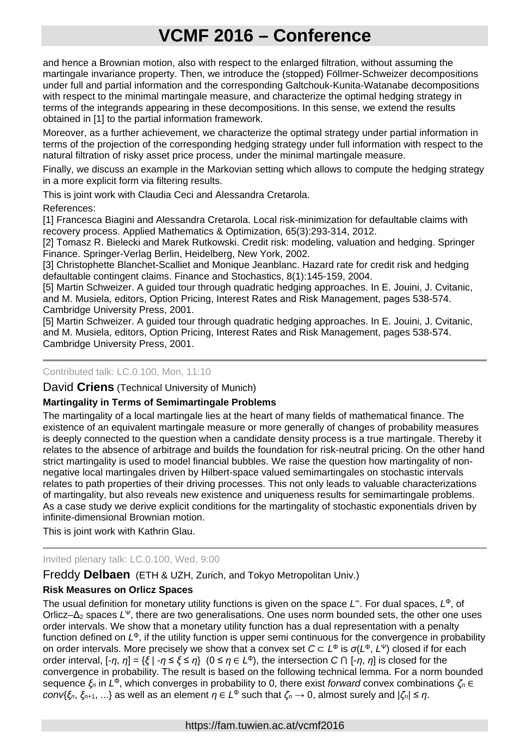and hence a Brownian motion, also with respect to the enlarged filtration, without assuming the martingale invariance property. Then, we introduce the (stopped) Föllmer-Schweizer decompositions under full and partial information and the corresponding Galtchouk-Kunita-Watanabe decompositions with respect to the minimal martingale measure, and characterize the optimal hedging strategy in terms of the integrands appearing in these decompositions. In this sense, we extend the results obtained in [1] to the partial information framework.

Moreover, as a further achievement, we characterize the optimal strategy under partial information in terms of the projection of the corresponding hedging strategy under full information with respect to the natural filtration of risky asset price process, under the minimal martingale measure.

Finally, we discuss an example in the Markovian setting which allows to compute the hedging strategy in a more explicit form via filtering results.

This is joint work with Claudia Ceci and Alessandra Cretarola.

References:

[1] Francesca Biagini and Alessandra Cretarola. Local risk-minimization for defaultable claims with recovery process. Applied Mathematics & Optimization, 65(3):293-314, 2012.

[2] Tomasz R. Bielecki and Marek Rutkowski. Credit risk: modeling, valuation and hedging. Springer Finance. Springer-Verlag Berlin, Heidelberg, New York, 2002.

[3] Christophette Blanchet-Scalliet and Monique Jeanblanc. Hazard rate for credit risk and hedging defaultable contingent claims. Finance and Stochastics, 8(1):145-159, 2004.

[5] Martin Schweizer. A guided tour through quadratic hedging approaches. In E. Jouini, J. Cvitanic, and M. Musiela, editors, Option Pricing, Interest Rates and Risk Management, pages 538-574. Cambridge University Press, 2001.

[5] Martin Schweizer. A guided tour through quadratic hedging approaches. In E. Jouini, J. Cvitanic, and M. Musiela, editors, Option Pricing, Interest Rates and Risk Management, pages 538-574. Cambridge University Press, 2001.

### Contributed talk: LC.0.100, Mon, 11:10

David **Criens** (Technical University of Munich)

# **Martingality in Terms of Semimartingale Problems**

The martingality of a local martingale lies at the heart of many fields of mathematical finance. The existence of an equivalent martingale measure or more generally of changes of probability measures is deeply connected to the question when a candidate density process is a true martingale. Thereby it relates to the absence of arbitrage and builds the foundation for risk-neutral pricing. On the other hand strict martingality is used to model financial bubbles. We raise the question how martingality of nonnegative local martingales driven by Hilbert-space valued semimartingales on stochastic intervals relates to path properties of their driving processes. This not only leads to valuable characterizations of martingality, but also reveals new existence and uniqueness results for semimartingale problems. As a case study we derive explicit conditions for the martingality of stochastic exponentials driven by infinite-dimensional Brownian motion.

This is joint work with Kathrin Glau.

# Invited plenary talk: LC.0.100, Wed, 9:00

Freddy **Delbaen** (ETH & UZH, Zurich, and Tokyo Metropolitan Univ.)

# **Risk Measures on Orlicz Spaces**

The usual definition for monetary utility functions is given on the space *L*<sup>∞</sup>. For dual spaces, *L*<sup>Φ</sup>, of Orlicz–Δ<sup>2</sup> spaces *L*<sup>Ψ</sup>, there are two generalisations. One uses norm bounded sets, the other one uses order intervals. We show that a monetary utility function has a dual representation with a penalty function defined on *L*<sup>Φ</sup>, if the utility function is upper semi continuous for the convergence in probability on order intervals. More precisely we show that a convex set *C* ⊂ *L*<sup>Φ</sup> is *σ*(*L*<sup>Φ</sup>, *L*<sup>Ψ</sup>) closed if for each order interval, [-*η*, *η*] = {*ξ* | -*η* ≤ *ξ* ≤ *η*} (0 ≤ *η* ∈ *L*<sup>Φ</sup>), the intersection *C* ⋂ [-*η*, *η*] is closed for the convergence in probability. The result is based on the following technical lemma. For a norm bounded sequence *ξ<sup>n</sup>* in *L*<sup>Φ</sup>, which converges in probability to 0, there exist *forward* convex combinations *ζ<sup>n</sup>* ∈ *conv*{*ξ*<sup>*n*</sup>, *ξ*<sub>*n*+1</sub>, ...} as well as an element *η* ∈ *L*<sup>φ</sup> such that *ζ*<sup>*n*</sup> → 0, almost surely and |*ζ*<sup>*n*</sup>| ≤ *η*.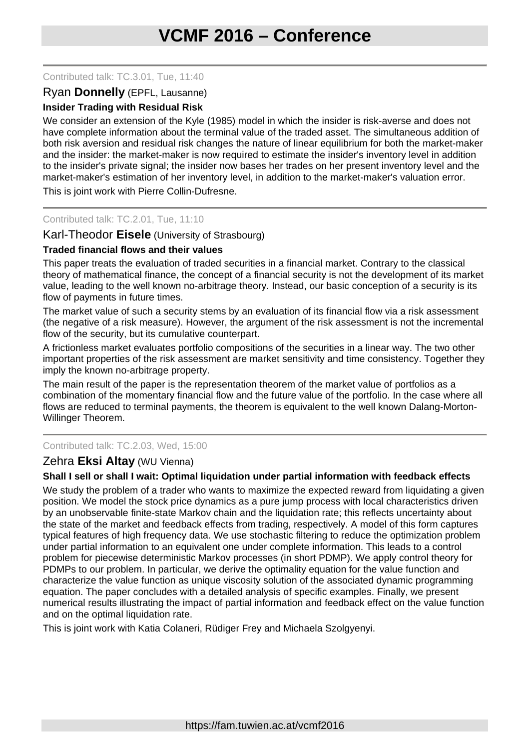#### Contributed talk: TC.3.01, Tue, 11:40

# Ryan **Donnelly** (EPFL, Lausanne)

### **Insider Trading with Residual Risk**

We consider an extension of the Kyle (1985) model in which the insider is risk-averse and does not have complete information about the terminal value of the traded asset. The simultaneous addition of both risk aversion and residual risk changes the nature of linear equilibrium for both the market-maker and the insider: the market-maker is now required to estimate the insider's inventory level in addition to the insider's private signal; the insider now bases her trades on her present inventory level and the market-maker's estimation of her inventory level, in addition to the market-maker's valuation error.

This is joint work with Pierre Collin-Dufresne.

### Contributed talk: TC.2.01, Tue, 11:10

#### Karl-Theodor **Eisele** (University of Strasbourg)

#### **Traded financial flows and their values**

This paper treats the evaluation of traded securities in a financial market. Contrary to the classical theory of mathematical finance, the concept of a financial security is not the development of its market value, leading to the well known no-arbitrage theory. Instead, our basic conception of a security is its flow of payments in future times.

The market value of such a security stems by an evaluation of its financial flow via a risk assessment (the negative of a risk measure). However, the argument of the risk assessment is not the incremental flow of the security, but its cumulative counterpart.

A frictionless market evaluates portfolio compositions of the securities in a linear way. The two other important properties of the risk assessment are market sensitivity and time consistency. Together they imply the known no-arbitrage property.

The main result of the paper is the representation theorem of the market value of portfolios as a combination of the momentary financial flow and the future value of the portfolio. In the case where all flows are reduced to terminal payments, the theorem is equivalent to the well known Dalang-Morton-Willinger Theorem.

#### Contributed talk: TC.2.03, Wed, 15:00

#### Zehra **Eksi Altay** (WU Vienna)

#### **Shall I sell or shall I wait: Optimal liquidation under partial information with feedback effects**

We study the problem of a trader who wants to maximize the expected reward from liquidating a given position. We model the stock price dynamics as a pure jump process with local characteristics driven by an unobservable finite-state Markov chain and the liquidation rate; this reflects uncertainty about the state of the market and feedback effects from trading, respectively. A model of this form captures typical features of high frequency data. We use stochastic filtering to reduce the optimization problem under partial information to an equivalent one under complete information. This leads to a control problem for piecewise deterministic Markov processes (in short PDMP). We apply control theory for PDMPs to our problem. In particular, we derive the optimality equation for the value function and characterize the value function as unique viscosity solution of the associated dynamic programming equation. The paper concludes with a detailed analysis of specific examples. Finally, we present numerical results illustrating the impact of partial information and feedback effect on the value function and on the optimal liquidation rate.

This is joint work with Katia Colaneri, Rüdiger Frey and Michaela Szolgyenyi.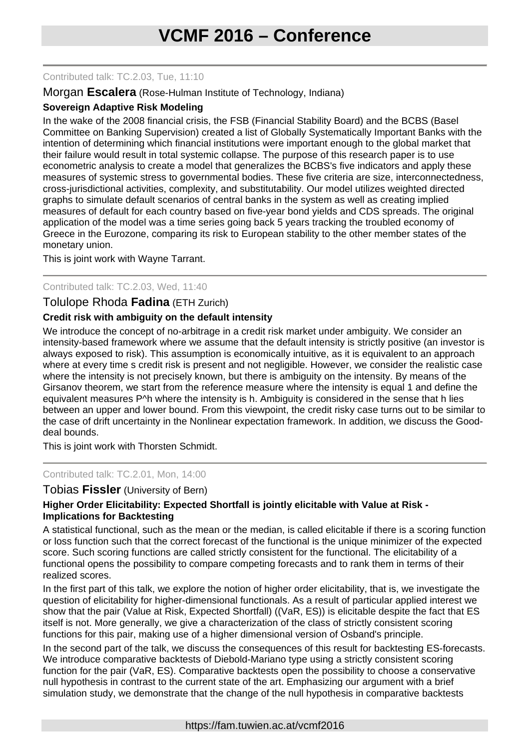### Contributed talk: TC.2.03, Tue, 11:10

## Morgan **Escalera** (Rose-Hulman Institute of Technology, Indiana)

# **Sovereign Adaptive Risk Modeling**

In the wake of the 2008 financial crisis, the FSB (Financial Stability Board) and the BCBS (Basel Committee on Banking Supervision) created a list of Globally Systematically Important Banks with the intention of determining which financial institutions were important enough to the global market that their failure would result in total systemic collapse. The purpose of this research paper is to use econometric analysis to create a model that generalizes the BCBS's five indicators and apply these measures of systemic stress to governmental bodies. These five criteria are size, interconnectedness, cross-jurisdictional activities, complexity, and substitutability. Our model utilizes weighted directed graphs to simulate default scenarios of central banks in the system as well as creating implied measures of default for each country based on five-year bond yields and CDS spreads. The original application of the model was a time series going back 5 years tracking the troubled economy of Greece in the Eurozone, comparing its risk to European stability to the other member states of the monetary union.

This is joint work with Wayne Tarrant.

#### Contributed talk: TC.2.03, Wed, 11:40

# Tolulope Rhoda **Fadina** (ETH Zurich)

# **Credit risk with ambiguity on the default intensity**

We introduce the concept of no-arbitrage in a credit risk market under ambiguity. We consider an intensity-based framework where we assume that the default intensity is strictly positive (an investor is always exposed to risk). This assumption is economically intuitive, as it is equivalent to an approach where at every time s credit risk is present and not negligible. However, we consider the realistic case where the intensity is not precisely known, but there is ambiguity on the intensity. By means of the Girsanov theorem, we start from the reference measure where the intensity is equal 1 and define the equivalent measures P^h where the intensity is h. Ambiguity is considered in the sense that h lies between an upper and lower bound. From this viewpoint, the credit risky case turns out to be similar to the case of drift uncertainty in the Nonlinear expectation framework. In addition, we discuss the Gooddeal bounds.

This is joint work with Thorsten Schmidt.

Contributed talk: TC.2.01, Mon, 14:00

#### Tobias **Fissler** (University of Bern)

# **Higher Order Elicitability: Expected Shortfall is jointly elicitable with Value at Risk - Implications for Backtesting**

A statistical functional, such as the mean or the median, is called elicitable if there is a scoring function or loss function such that the correct forecast of the functional is the unique minimizer of the expected score. Such scoring functions are called strictly consistent for the functional. The elicitability of a functional opens the possibility to compare competing forecasts and to rank them in terms of their realized scores.

In the first part of this talk, we explore the notion of higher order elicitability, that is, we investigate the question of elicitability for higher-dimensional functionals. As a result of particular applied interest we show that the pair (Value at Risk, Expected Shortfall) ((VaR, ES)) is elicitable despite the fact that ES itself is not. More generally, we give a characterization of the class of strictly consistent scoring functions for this pair, making use of a higher dimensional version of Osband's principle.

In the second part of the talk, we discuss the consequences of this result for backtesting ES-forecasts. We introduce comparative backtests of Diebold-Mariano type using a strictly consistent scoring function for the pair (VaR, ES). Comparative backtests open the possibility to choose a conservative null hypothesis in contrast to the current state of the art. Emphasizing our argument with a brief simulation study, we demonstrate that the change of the null hypothesis in comparative backtests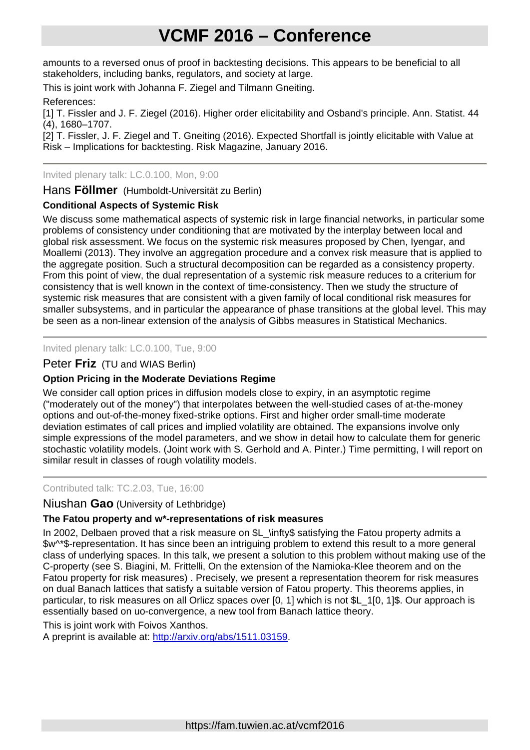amounts to a reversed onus of proof in backtesting decisions. This appears to be beneficial to all stakeholders, including banks, regulators, and society at large.

This is joint work with Johanna F. Ziegel and Tilmann Gneiting.

# References:

[1] T. Fissler and J. F. Ziegel (2016). Higher order elicitability and Osband's principle. Ann. Statist. 44 (4), 1680–1707.

[2] T. Fissler, J. F. Ziegel and T. Gneiting (2016). Expected Shortfall is jointly elicitable with Value at Risk – Implications for backtesting. Risk Magazine, January 2016.

# Invited plenary talk: LC.0.100, Mon, 9:00

Hans **Föllmer** (Humboldt-Universität zu Berlin)

# **Conditional Aspects of Systemic Risk**

We discuss some mathematical aspects of systemic risk in large financial networks, in particular some problems of consistency under conditioning that are motivated by the interplay between local and global risk assessment. We focus on the systemic risk measures proposed by Chen, Iyengar, and Moallemi (2013). They involve an aggregation procedure and a convex risk measure that is applied to the aggregate position. Such a structural decomposition can be regarded as a consistency property. From this point of view, the dual representation of a systemic risk measure reduces to a criterium for consistency that is well known in the context of time-consistency. Then we study the structure of systemic risk measures that are consistent with a given family of local conditional risk measures for smaller subsystems, and in particular the appearance of phase transitions at the global level. This may be seen as a non-linear extension of the analysis of Gibbs measures in Statistical Mechanics.

Invited plenary talk: LC.0.100, Tue, 9:00

# Peter **Friz** (TU and WIAS Berlin)

# **Option Pricing in the Moderate Deviations Regime**

We consider call option prices in diffusion models close to expiry, in an asymptotic regime ("moderately out of the money") that interpolates between the well-studied cases of at-the-money options and out-of-the-money fixed-strike options. First and higher order small-time moderate deviation estimates of call prices and implied volatility are obtained. The expansions involve only simple expressions of the model parameters, and we show in detail how to calculate them for generic stochastic volatility models. (Joint work with S. Gerhold and A. Pinter.) Time permitting, I will report on similar result in classes of rough volatility models.

#### Contributed talk: TC.2.03, Tue, 16:00

# Niushan **Gao** (University of Lethbridge)

# **The Fatou property and w\*-representations of risk measures**

In 2002, Delbaen proved that a risk measure on \$L \infty\$ satisfying the Fatou property admits a \$w^\*\$-representation. It has since been an intriguing problem to extend this result to a more general class of underlying spaces. In this talk, we present a solution to this problem without making use of the C-property (see S. Biagini, M. Frittelli, On the extension of the Namioka-Klee theorem and on the Fatou property for risk measures) . Precisely, we present a representation theorem for risk measures on dual Banach lattices that satisfy a suitable version of Fatou property. This theorems applies, in particular, to risk measures on all Orlicz spaces over [0, 1] which is not \$L 1[0, 1]\$. Our approach is essentially based on uo-convergence, a new tool from Banach lattice theory.

This is joint work with Foivos Xanthos.

A preprint is available at: [http://arxiv.org/abs/1511.03159.](http://arxiv.org/abs/1511.03159)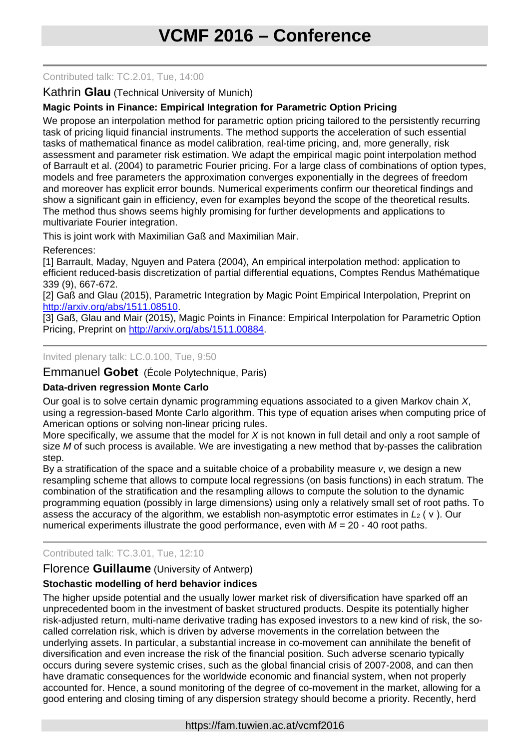### Contributed talk: TC.2.01, Tue, 14:00

## Kathrin **Glau** (Technical University of Munich)

# **Magic Points in Finance: Empirical Integration for Parametric Option Pricing**

We propose an interpolation method for parametric option pricing tailored to the persistently recurring task of pricing liquid financial instruments. The method supports the acceleration of such essential tasks of mathematical finance as model calibration, real-time pricing, and, more generally, risk assessment and parameter risk estimation. We adapt the empirical magic point interpolation method of Barrault et al. (2004) to parametric Fourier pricing. For a large class of combinations of option types, models and free parameters the approximation converges exponentially in the degrees of freedom and moreover has explicit error bounds. Numerical experiments confirm our theoretical findings and show a significant gain in efficiency, even for examples beyond the scope of the theoretical results. The method thus shows seems highly promising for further developments and applications to multivariate Fourier integration.

This is joint work with Maximilian Gaß and Maximilian Mair.

References:

[1] Barrault, Maday, Nguyen and Patera (2004), An empirical interpolation method: application to efficient reduced-basis discretization of partial differential equations, Comptes Rendus Mathématique 339 (9), 667-672.

[2] Gaß and Glau (2015), Parametric Integration by Magic Point Empirical Interpolation, Preprint on [http://arxiv.org/abs/1511.08510.](http://arxiv.org/abs/1511.08510)

[3] Gaß, Glau and Mair (2015), Magic Points in Finance: Empirical Interpolation for Parametric Option Pricing, Preprint on [http://arxiv.org/abs/1511.00884.](http://arxiv.org/abs/1511.00884)

Invited plenary talk: LC.0.100, Tue, 9:50

Emmanuel **Gobet** (École Polytechnique, Paris)

# **Data-driven regression Monte Carlo**

Our goal is to solve certain dynamic programming equations associated to a given Markov chain *X*, using a regression-based Monte Carlo algorithm. This type of equation arises when computing price of American options or solving non-linear pricing rules.

More specifically, we assume that the model for *X* is not known in full detail and only a root sample of size *M* of such process is available. We are investigating a new method that by-passes the calibration step.

By a stratification of the space and a suitable choice of a probability measure *ν*, we design a new resampling scheme that allows to compute local regressions (on basis functions) in each stratum. The combination of the stratification and the resampling allows to compute the solution to the dynamic programming equation (possibly in large dimensions) using only a relatively small set of root paths. To assess the accuracy of the algorithm, we establish non-asymptotic error estimates in *L*<sub>2</sub> ( v ). Our numerical experiments illustrate the good performance, even with *M* = 20 - 40 root paths.

# Contributed talk: TC.3.01, Tue, 12:10

# Florence **Guillaume** (University of Antwerp)

# **Stochastic modelling of herd behavior indices**

The higher upside potential and the usually lower market risk of diversification have sparked off an unprecedented boom in the investment of basket structured products. Despite its potentially higher risk-adjusted return, multi-name derivative trading has exposed investors to a new kind of risk, the socalled correlation risk, which is driven by adverse movements in the correlation between the underlying assets. In particular, a substantial increase in co-movement can annihilate the benefit of diversification and even increase the risk of the financial position. Such adverse scenario typically occurs during severe systemic crises, such as the global financial crisis of 2007-2008, and can then have dramatic consequences for the worldwide economic and financial system, when not properly accounted for. Hence, a sound monitoring of the degree of co-movement in the market, allowing for a good entering and closing timing of any dispersion strategy should become a priority. Recently, herd

#### https://fam.tuwien.ac.at/vcmf2016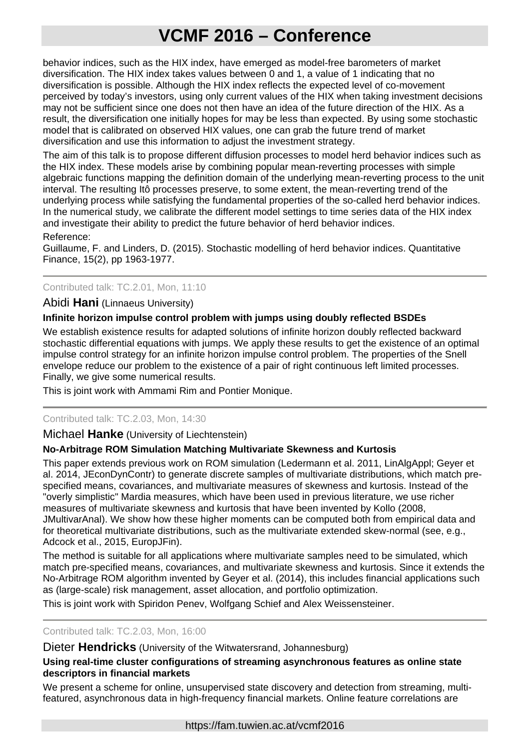behavior indices, such as the HIX index, have emerged as model-free barometers of market diversification. The HIX index takes values between 0 and 1, a value of 1 indicating that no diversification is possible. Although the HIX index reflects the expected level of co-movement perceived by today's investors, using only current values of the HIX when taking investment decisions may not be sufficient since one does not then have an idea of the future direction of the HIX. As a result, the diversification one initially hopes for may be less than expected. By using some stochastic model that is calibrated on observed HIX values, one can grab the future trend of market diversification and use this information to adjust the investment strategy.

The aim of this talk is to propose different diffusion processes to model herd behavior indices such as the HIX index. These models arise by combining popular mean-reverting processes with simple algebraic functions mapping the definition domain of the underlying mean-reverting process to the unit interval. The resulting Itô processes preserve, to some extent, the mean-reverting trend of the underlying process while satisfying the fundamental properties of the so-called herd behavior indices. In the numerical study, we calibrate the different model settings to time series data of the HIX index and investigate their ability to predict the future behavior of herd behavior indices.

#### Reference:

Guillaume, F. and Linders, D. (2015). Stochastic modelling of herd behavior indices. Quantitative Finance, 15(2), pp 1963-1977.

# Contributed talk: TC.2.01, Mon, 11:10

#### Abidi **Hani** (Linnaeus University)

#### **Infinite horizon impulse control problem with jumps using doubly reflected BSDEs**

We establish existence results for adapted solutions of infinite horizon doubly reflected backward stochastic differential equations with jumps. We apply these results to get the existence of an optimal impulse control strategy for an infinite horizon impulse control problem. The properties of the Snell envelope reduce our problem to the existence of a pair of right continuous left limited processes. Finally, we give some numerical results.

This is joint work with Ammami Rim and Pontier Monique.

#### Contributed talk: TC.2.03, Mon, 14:30

#### Michael **Hanke** (University of Liechtenstein)

#### **No-Arbitrage ROM Simulation Matching Multivariate Skewness and Kurtosis**

This paper extends previous work on ROM simulation (Ledermann et al. 2011, LinAlgAppl; Geyer et al. 2014, JEconDynContr) to generate discrete samples of multivariate distributions, which match prespecified means, covariances, and multivariate measures of skewness and kurtosis. Instead of the "overly simplistic" Mardia measures, which have been used in previous literature, we use richer measures of multivariate skewness and kurtosis that have been invented by Kollo (2008, JMultivarAnal). We show how these higher moments can be computed both from empirical data and for theoretical multivariate distributions, such as the multivariate extended skew-normal (see, e.g., Adcock et al., 2015, EuropJFin).

The method is suitable for all applications where multivariate samples need to be simulated, which match pre-specified means, covariances, and multivariate skewness and kurtosis. Since it extends the No-Arbitrage ROM algorithm invented by Geyer et al. (2014), this includes financial applications such as (large-scale) risk management, asset allocation, and portfolio optimization.

This is joint work with Spiridon Penev, Wolfgang Schief and Alex Weissensteiner.

#### Contributed talk: TC.2.03, Mon, 16:00

### Dieter **Hendricks** (University of the Witwatersrand, Johannesburg)

#### **Using real-time cluster configurations of streaming asynchronous features as online state descriptors in financial markets**

We present a scheme for online, unsupervised state discovery and detection from streaming, multifeatured, asynchronous data in high-frequency financial markets. Online feature correlations are

https://fam.tuwien.ac.at/vcmf2016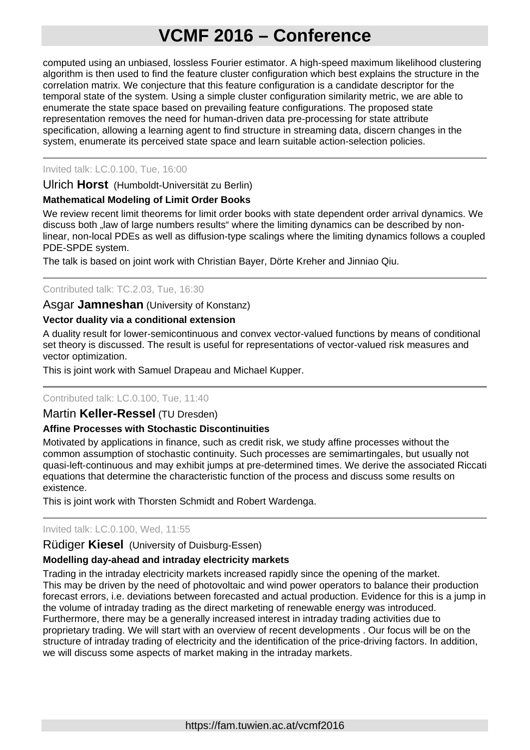computed using an unbiased, lossless Fourier estimator. A high-speed maximum likelihood clustering algorithm is then used to find the feature cluster configuration which best explains the structure in the correlation matrix. We conjecture that this feature configuration is a candidate descriptor for the temporal state of the system. Using a simple cluster configuration similarity metric, we are able to enumerate the state space based on prevailing feature configurations. The proposed state representation removes the need for human-driven data pre-processing for state attribute specification, allowing a learning agent to find structure in streaming data, discern changes in the system, enumerate its perceived state space and learn suitable action-selection policies.

# Invited talk: LC.0.100, Tue, 16:00

Ulrich **Horst** (Humboldt-Universität zu Berlin)

# **Mathematical Modeling of Limit Order Books**

We review recent limit theorems for limit order books with state dependent order arrival dynamics. We discuss both "law of large numbers results" where the limiting dynamics can be described by nonlinear, non-local PDEs as well as diffusion-type scalings where the limiting dynamics follows a coupled PDE-SPDE system.

The talk is based on joint work with Christian Bayer, Dörte Kreher and Jinniao Qiu.

#### Contributed talk: TC.2.03, Tue, 16:30

# Asgar **Jamneshan** (University of Konstanz)

#### **Vector duality via a conditional extension**

A duality result for lower-semicontinuous and convex vector-valued functions by means of conditional set theory is discussed. The result is useful for representations of vector-valued risk measures and vector optimization.

This is joint work with Samuel Drapeau and Michael Kupper.

#### Contributed talk: LC.0.100, Tue, 11:40

#### Martin **Keller-Ressel** (TU Dresden)

#### **Affine Processes with Stochastic Discontinuities**

Motivated by applications in finance, such as credit risk, we study affine processes without the common assumption of stochastic continuity. Such processes are semimartingales, but usually not quasi-left-continuous and may exhibit jumps at pre-determined times. We derive the associated Riccati equations that determine the characteristic function of the process and discuss some results on existence.

This is joint work with Thorsten Schmidt and Robert Wardenga.

#### Invited talk: LC.0.100, Wed, 11:55

# Rüdiger **Kiesel** (University of Duisburg-Essen)

#### **Modelling day-ahead and intraday electricity markets**

Trading in the intraday electricity markets increased rapidly since the opening of the market. This may be driven by the need of photovoltaic and wind power operators to balance their production forecast errors, i.e. deviations between forecasted and actual production. Evidence for this is a jump in the volume of intraday trading as the direct marketing of renewable energy was introduced. Furthermore, there may be a generally increased interest in intraday trading activities due to proprietary trading. We will start with an overview of recent developments . Our focus will be on the structure of intraday trading of electricity and the identification of the price-driving factors. In addition, we will discuss some aspects of market making in the intraday markets.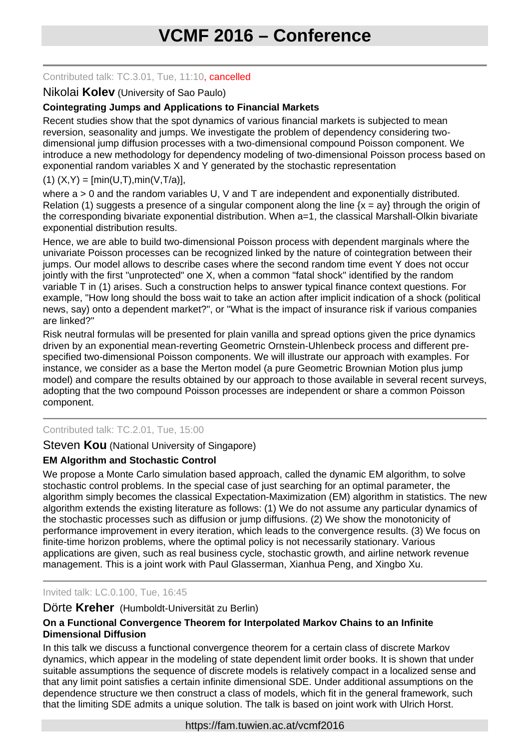### Contributed talk: TC.3.01, Tue, 11:10, cancelled

# Nikolai **Kolev** (University of Sao Paulo)

# **Cointegrating Jumps and Applications to Financial Markets**

Recent studies show that the spot dynamics of various financial markets is subjected to mean reversion, seasonality and jumps. We investigate the problem of dependency considering twodimensional jump diffusion processes with a two-dimensional compound Poisson component. We introduce a new methodology for dependency modeling of two-dimensional Poisson process based on exponential random variables X and Y generated by the stochastic representation

# $(1)$   $(X,Y) = [min(U,T),min(V,T/a)],$

where  $a > 0$  and the random variables U, V and T are independent and exponentially distributed. Relation (1) suggests a presence of a singular component along the line  $\{x = av\}$  through the origin of the corresponding bivariate exponential distribution. When a=1, the classical Marshall-Olkin bivariate exponential distribution results.

Hence, we are able to build two-dimensional Poisson process with dependent marginals where the univariate Poisson processes can be recognized linked by the nature of cointegration between their jumps. Our model allows to describe cases where the second random time event Y does not occur jointly with the first "unprotected" one X, when a common "fatal shock" identified by the random variable T in (1) arises. Such a construction helps to answer typical finance context questions. For example, "How long should the boss wait to take an action after implicit indication of a shock (political news, say) onto a dependent market?", or "What is the impact of insurance risk if various companies are linked?"

Risk neutral formulas will be presented for plain vanilla and spread options given the price dynamics driven by an exponential mean-reverting Geometric Ornstein-Uhlenbeck process and different prespecified two-dimensional Poisson components. We will illustrate our approach with examples. For instance, we consider as a base the Merton model (a pure Geometric Brownian Motion plus jump model) and compare the results obtained by our approach to those available in several recent surveys, adopting that the two compound Poisson processes are independent or share a common Poisson component.

# Contributed talk: TC.2.01, Tue, 15:00

Steven **Kou** (National University of Singapore)

# **EM Algorithm and Stochastic Control**

We propose a Monte Carlo simulation based approach, called the dynamic EM algorithm, to solve stochastic control problems. In the special case of just searching for an optimal parameter, the algorithm simply becomes the classical Expectation-Maximization (EM) algorithm in statistics. The new algorithm extends the existing literature as follows: (1) We do not assume any particular dynamics of the stochastic processes such as diffusion or jump diffusions. (2) We show the monotonicity of performance improvement in every iteration, which leads to the convergence results. (3) We focus on finite-time horizon problems, where the optimal policy is not necessarily stationary. Various applications are given, such as real business cycle, stochastic growth, and airline network revenue management. This is a joint work with Paul Glasserman, Xianhua Peng, and Xingbo Xu.

Invited talk: LC.0.100, Tue, 16:45

#### Dörte **Kreher** (Humboldt-Universität zu Berlin)

# **On a Functional Convergence Theorem for Interpolated Markov Chains to an Infinite Dimensional Diffusion**

In this talk we discuss a functional convergence theorem for a certain class of discrete Markov dynamics, which appear in the modeling of state dependent limit order books. It is shown that under suitable assumptions the sequence of discrete models is relatively compact in a localized sense and that any limit point satisfies a certain infinite dimensional SDE. Under additional assumptions on the dependence structure we then construct a class of models, which fit in the general framework, such that the limiting SDE admits a unique solution. The talk is based on joint work with Ulrich Horst.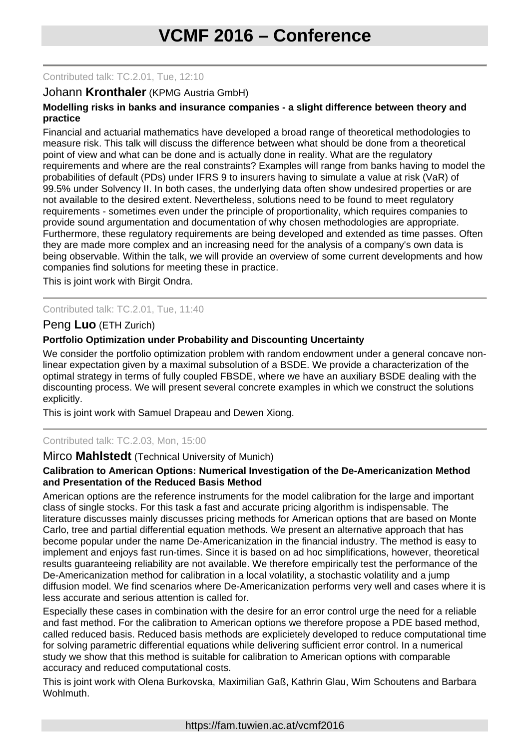#### Contributed talk: TC.2.01, Tue, 12:10

### Johann **Kronthaler** (KPMG Austria GmbH)

#### **Modelling risks in banks and insurance companies - a slight difference between theory and practice**

Financial and actuarial mathematics have developed a broad range of theoretical methodologies to measure risk. This talk will discuss the difference between what should be done from a theoretical point of view and what can be done and is actually done in reality. What are the regulatory requirements and where are the real constraints? Examples will range from banks having to model the probabilities of default (PDs) under IFRS 9 to insurers having to simulate a value at risk (VaR) of 99.5% under Solvency II. In both cases, the underlying data often show undesired properties or are not available to the desired extent. Nevertheless, solutions need to be found to meet regulatory requirements - sometimes even under the principle of proportionality, which requires companies to provide sound argumentation and documentation of why chosen methodologies are appropriate. Furthermore, these regulatory requirements are being developed and extended as time passes. Often they are made more complex and an increasing need for the analysis of a company's own data is being observable. Within the talk, we will provide an overview of some current developments and how companies find solutions for meeting these in practice.

This is joint work with Birgit Ondra.

#### Contributed talk: TC.2.01, Tue, 11:40

# Peng **Luo** (ETH Zurich)

#### **Portfolio Optimization under Probability and Discounting Uncertainty**

We consider the portfolio optimization problem with random endowment under a general concave nonlinear expectation given by a maximal subsolution of a BSDE. We provide a characterization of the optimal strategy in terms of fully coupled FBSDE, where we have an auxiliary BSDE dealing with the discounting process. We will present several concrete examples in which we construct the solutions explicitly.

This is joint work with Samuel Drapeau and Dewen Xiong.

# Contributed talk: TC.2.03, Mon, 15:00

#### Mirco **Mahlstedt** (Technical University of Munich)

#### **Calibration to American Options: Numerical Investigation of the De-Americanization Method and Presentation of the Reduced Basis Method**

American options are the reference instruments for the model calibration for the large and important class of single stocks. For this task a fast and accurate pricing algorithm is indispensable. The literature discusses mainly discusses pricing methods for American options that are based on Monte Carlo, tree and partial differential equation methods. We present an alternative approach that has become popular under the name De-Americanization in the financial industry. The method is easy to implement and enjoys fast run-times. Since it is based on ad hoc simplifications, however, theoretical results guaranteeing reliability are not available. We therefore empirically test the performance of the De-Americanization method for calibration in a local volatility, a stochastic volatility and a jump diffusion model. We find scenarios where De-Americanization performs very well and cases where it is less accurate and serious attention is called for.

Especially these cases in combination with the desire for an error control urge the need for a reliable and fast method. For the calibration to American options we therefore propose a PDE based method, called reduced basis. Reduced basis methods are explicietely developed to reduce computational time for solving parametric differential equations while delivering sufficient error control. In a numerical study we show that this method is suitable for calibration to American options with comparable accuracy and reduced computational costs.

This is joint work with Olena Burkovska, Maximilian Gaß, Kathrin Glau, Wim Schoutens and Barbara Wohlmuth.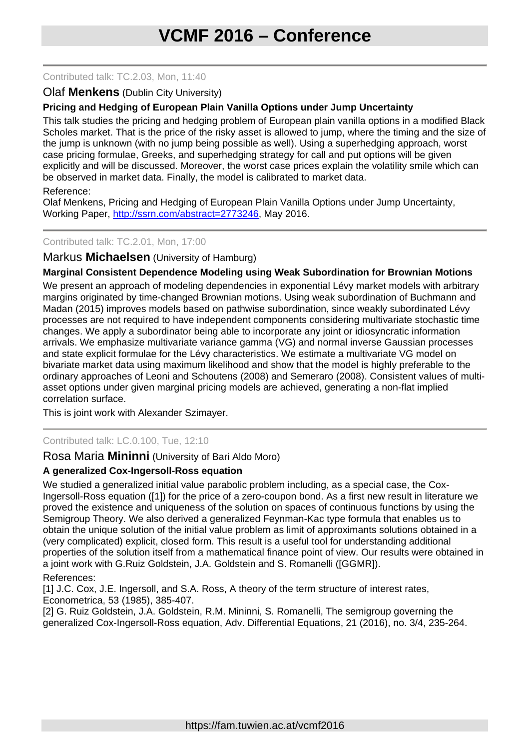#### Contributed talk: TC.2.03, Mon, 11:40

## Olaf **Menkens** (Dublin City University)

# **Pricing and Hedging of European Plain Vanilla Options under Jump Uncertainty**

This talk studies the pricing and hedging problem of European plain vanilla options in a modified Black Scholes market. That is the price of the risky asset is allowed to jump, where the timing and the size of the jump is unknown (with no jump being possible as well). Using a superhedging approach, worst case pricing formulae, Greeks, and superhedging strategy for call and put options will be given explicitly and will be discussed. Moreover, the worst case prices explain the volatility smile which can be observed in market data. Finally, the model is calibrated to market data.

#### Reference:

Olaf Menkens, Pricing and Hedging of European Plain Vanilla Options under Jump Uncertainty, Working Paper, [http://ssrn.com/abstract=2773246,](http://ssrn.com/abstract=2773246) May 2016.

#### Contributed talk: TC.2.01, Mon, 17:00

#### Markus **Michaelsen** (University of Hamburg)

# **Marginal Consistent Dependence Modeling using Weak Subordination for Brownian Motions**

We present an approach of modeling dependencies in exponential Lévy market models with arbitrary margins originated by time-changed Brownian motions. Using weak subordination of Buchmann and Madan (2015) improves models based on pathwise subordination, since weakly subordinated Lévy processes are not required to have independent components considering multivariate stochastic time changes. We apply a subordinator being able to incorporate any joint or idiosyncratic information arrivals. We emphasize multivariate variance gamma (VG) and normal inverse Gaussian processes and state explicit formulae for the Lévy characteristics. We estimate a multivariate VG model on bivariate market data using maximum likelihood and show that the model is highly preferable to the ordinary approaches of Leoni and Schoutens (2008) and Semeraro (2008). Consistent values of multiasset options under given marginal pricing models are achieved, generating a non-flat implied correlation surface.

This is joint work with Alexander Szimayer.

#### Contributed talk: LC.0.100, Tue, 12:10

#### Rosa Maria **Mininni** (University of Bari Aldo Moro)

#### **A generalized Cox-Ingersoll-Ross equation**

We studied a generalized initial value parabolic problem including, as a special case, the Cox-Ingersoll-Ross equation ([1]) for the price of a zero-coupon bond. As a first new result in literature we proved the existence and uniqueness of the solution on spaces of continuous functions by using the Semigroup Theory. We also derived a generalized Feynman-Kac type formula that enables us to obtain the unique solution of the initial value problem as limit of approximants solutions obtained in a (very complicated) explicit, closed form. This result is a useful tool for understanding additional properties of the solution itself from a mathematical finance point of view. Our results were obtained in a joint work with G.Ruiz Goldstein, J.A. Goldstein and S. Romanelli ([GGMR]).

#### References:

[1] J.C. Cox, J.E. Ingersoll, and S.A. Ross, A theory of the term structure of interest rates, Econometrica, 53 (1985), 385-407.

[2] G. Ruiz Goldstein, J.A. Goldstein, R.M. Mininni, S. Romanelli, The semigroup governing the generalized Cox-Ingersoll-Ross equation, Adv. Differential Equations, 21 (2016), no. 3/4, 235-264.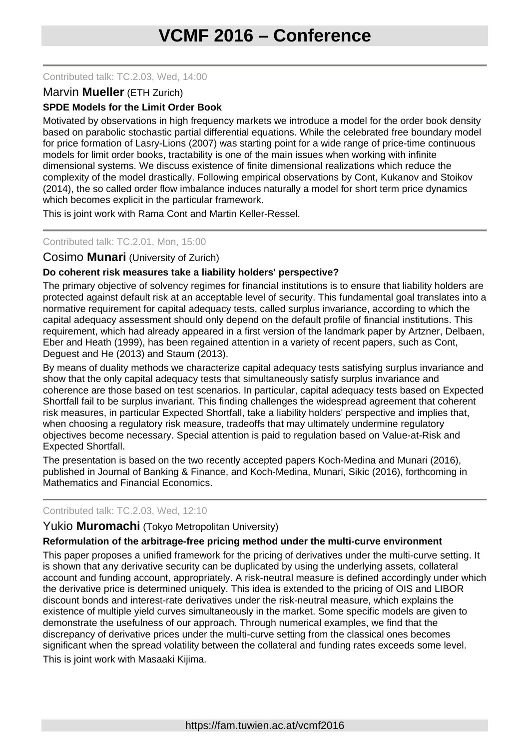#### Contributed talk: TC.2.03, Wed, 14:00

# Marvin **Mueller** (ETH Zurich)

# **SPDE Models for the Limit Order Book**

Motivated by observations in high frequency markets we introduce a model for the order book density based on parabolic stochastic partial differential equations. While the celebrated free boundary model for price formation of Lasry-Lions (2007) was starting point for a wide range of price-time continuous models for limit order books, tractability is one of the main issues when working with infinite dimensional systems. We discuss existence of finite dimensional realizations which reduce the complexity of the model drastically. Following empirical observations by Cont, Kukanov and Stoikov (2014), the so called order flow imbalance induces naturally a model for short term price dynamics which becomes explicit in the particular framework.

This is joint work with Rama Cont and Martin Keller-Ressel.

#### Contributed talk: TC.2.01, Mon, 15:00

#### Cosimo **Munari** (University of Zurich)

#### **Do coherent risk measures take a liability holders' perspective?**

The primary objective of solvency regimes for financial institutions is to ensure that liability holders are protected against default risk at an acceptable level of security. This fundamental goal translates into a normative requirement for capital adequacy tests, called surplus invariance, according to which the capital adequacy assessment should only depend on the default profile of financial institutions. This requirement, which had already appeared in a first version of the landmark paper by Artzner, Delbaen, Eber and Heath (1999), has been regained attention in a variety of recent papers, such as Cont, Deguest and He (2013) and Staum (2013).

By means of duality methods we characterize capital adequacy tests satisfying surplus invariance and show that the only capital adequacy tests that simultaneously satisfy surplus invariance and coherence are those based on test scenarios. In particular, capital adequacy tests based on Expected Shortfall fail to be surplus invariant. This finding challenges the widespread agreement that coherent risk measures, in particular Expected Shortfall, take a liability holders' perspective and implies that, when choosing a regulatory risk measure, tradeoffs that may ultimately undermine regulatory objectives become necessary. Special attention is paid to regulation based on Value-at-Risk and Expected Shortfall.

The presentation is based on the two recently accepted papers Koch-Medina and Munari (2016), published in Journal of Banking & Finance, and Koch-Medina, Munari, Sikic (2016), forthcoming in Mathematics and Financial Economics.

#### Contributed talk: TC.2.03, Wed, 12:10

Yukio **Muromachi** (Tokyo Metropolitan University)

#### **Reformulation of the arbitrage-free pricing method under the multi-curve environment**

This paper proposes a unified framework for the pricing of derivatives under the multi-curve setting. It is shown that any derivative security can be duplicated by using the underlying assets, collateral account and funding account, appropriately. A risk-neutral measure is defined accordingly under which the derivative price is determined uniquely. This idea is extended to the pricing of OIS and LIBOR discount bonds and interest-rate derivatives under the risk-neutral measure, which explains the existence of multiple yield curves simultaneously in the market. Some specific models are given to demonstrate the usefulness of our approach. Through numerical examples, we find that the discrepancy of derivative prices under the multi-curve setting from the classical ones becomes significant when the spread volatility between the collateral and funding rates exceeds some level. This is joint work with Masaaki Kijima.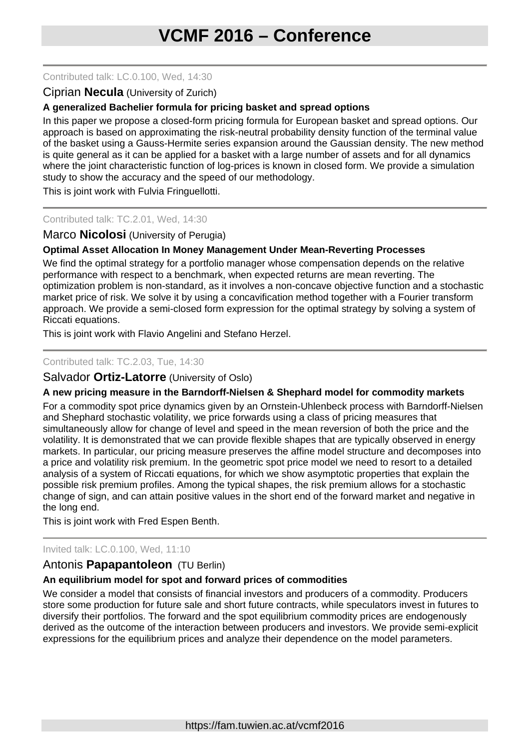#### Contributed talk: LC.0.100, Wed, 14:30

# Ciprian **Necula** (University of Zurich)

# **A generalized Bachelier formula for pricing basket and spread options**

In this paper we propose a closed-form pricing formula for European basket and spread options. Our approach is based on approximating the risk-neutral probability density function of the terminal value of the basket using a Gauss-Hermite series expansion around the Gaussian density. The new method is quite general as it can be applied for a basket with a large number of assets and for all dynamics where the joint characteristic function of log-prices is known in closed form. We provide a simulation study to show the accuracy and the speed of our methodology.

This is joint work with Fulvia Fringuellotti.

# Contributed talk: TC.2.01, Wed, 14:30

# Marco **Nicolosi** (University of Perugia)

# **Optimal Asset Allocation In Money Management Under Mean-Reverting Processes**

We find the optimal strategy for a portfolio manager whose compensation depends on the relative performance with respect to a benchmark, when expected returns are mean reverting. The optimization problem is non-standard, as it involves a non-concave objective function and a stochastic market price of risk. We solve it by using a concavification method together with a Fourier transform approach. We provide a semi-closed form expression for the optimal strategy by solving a system of Riccati equations.

This is joint work with Flavio Angelini and Stefano Herzel.

#### Contributed talk: TC.2.03, Tue, 14:30

### Salvador **Ortiz-Latorre** (University of Oslo)

#### **A new pricing measure in the Barndorff-Nielsen & Shephard model for commodity markets**

For a commodity spot price dynamics given by an Ornstein-Uhlenbeck process with Barndorff-Nielsen and Shephard stochastic volatility, we price forwards using a class of pricing measures that simultaneously allow for change of level and speed in the mean reversion of both the price and the volatility. It is demonstrated that we can provide flexible shapes that are typically observed in energy markets. In particular, our pricing measure preserves the affine model structure and decomposes into a price and volatility risk premium. In the geometric spot price model we need to resort to a detailed analysis of a system of Riccati equations, for which we show asymptotic properties that explain the possible risk premium profiles. Among the typical shapes, the risk premium allows for a stochastic change of sign, and can attain positive values in the short end of the forward market and negative in the long end.

This is joint work with Fred Espen Benth.

#### Invited talk: LC.0.100, Wed, 11:10

# Antonis **Papapantoleon** (TU Berlin)

#### **An equilibrium model for spot and forward prices of commodities**

We consider a model that consists of financial investors and producers of a commodity. Producers store some production for future sale and short future contracts, while speculators invest in futures to diversify their portfolios. The forward and the spot equilibrium commodity prices are endogenously derived as the outcome of the interaction between producers and investors. We provide semi-explicit expressions for the equilibrium prices and analyze their dependence on the model parameters.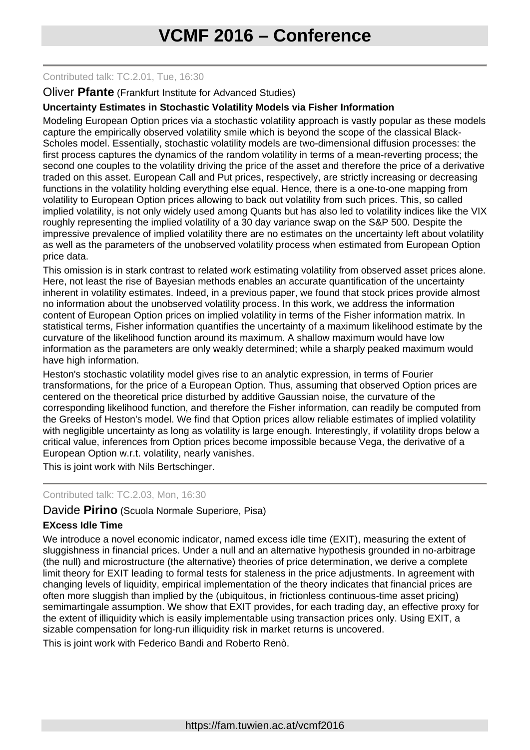#### Contributed talk: TC.2.01, Tue, 16:30

#### Oliver **Pfante** (Frankfurt Institute for Advanced Studies)

#### **Uncertainty Estimates in Stochastic Volatility Models via Fisher Information**

Modeling European Option prices via a stochastic volatility approach is vastly popular as these models capture the empirically observed volatility smile which is beyond the scope of the classical Black-Scholes model. Essentially, stochastic volatility models are two-dimensional diffusion processes: the first process captures the dynamics of the random volatility in terms of a mean-reverting process; the second one couples to the volatility driving the price of the asset and therefore the price of a derivative traded on this asset. European Call and Put prices, respectively, are strictly increasing or decreasing functions in the volatility holding everything else equal. Hence, there is a one-to-one mapping from volatility to European Option prices allowing to back out volatility from such prices. This, so called implied volatility, is not only widely used among Quants but has also led to volatility indices like the VIX roughly representing the implied volatility of a 30 day variance swap on the S&P 500. Despite the impressive prevalence of implied volatility there are no estimates on the uncertainty left about volatility as well as the parameters of the unobserved volatility process when estimated from European Option price data.

This omission is in stark contrast to related work estimating volatility from observed asset prices alone. Here, not least the rise of Bayesian methods enables an accurate quantification of the uncertainty inherent in volatility estimates. Indeed, in a previous paper, we found that stock prices provide almost no information about the unobserved volatility process. In this work, we address the information content of European Option prices on implied volatility in terms of the Fisher information matrix. In statistical terms, Fisher information quantifies the uncertainty of a maximum likelihood estimate by the curvature of the likelihood function around its maximum. A shallow maximum would have low information as the parameters are only weakly determined; while a sharply peaked maximum would have high information.

Heston's stochastic volatility model gives rise to an analytic expression, in terms of Fourier transformations, for the price of a European Option. Thus, assuming that observed Option prices are centered on the theoretical price disturbed by additive Gaussian noise, the curvature of the corresponding likelihood function, and therefore the Fisher information, can readily be computed from the Greeks of Heston's model. We find that Option prices allow reliable estimates of implied volatility with negligible uncertainty as long as volatility is large enough. Interestingly, if volatility drops below a critical value, inferences from Option prices become impossible because Vega, the derivative of a European Option w.r.t. volatility, nearly vanishes.

This is joint work with Nils Bertschinger.

#### Contributed talk: TC.2.03, Mon, 16:30

# Davide **Pirino** (Scuola Normale Superiore, Pisa)

#### **EXcess Idle Time**

We introduce a novel economic indicator, named excess idle time (EXIT), measuring the extent of sluggishness in financial prices. Under a null and an alternative hypothesis grounded in no-arbitrage (the null) and microstructure (the alternative) theories of price determination, we derive a complete limit theory for EXIT leading to formal tests for staleness in the price adjustments. In agreement with changing levels of liquidity, empirical implementation of the theory indicates that financial prices are often more sluggish than implied by the (ubiquitous, in frictionless continuous-time asset pricing) semimartingale assumption. We show that EXIT provides, for each trading day, an effective proxy for the extent of illiquidity which is easily implementable using transaction prices only. Using EXIT, a sizable compensation for long-run illiquidity risk in market returns is uncovered.

This is joint work with Federico Bandi and Roberto Renò.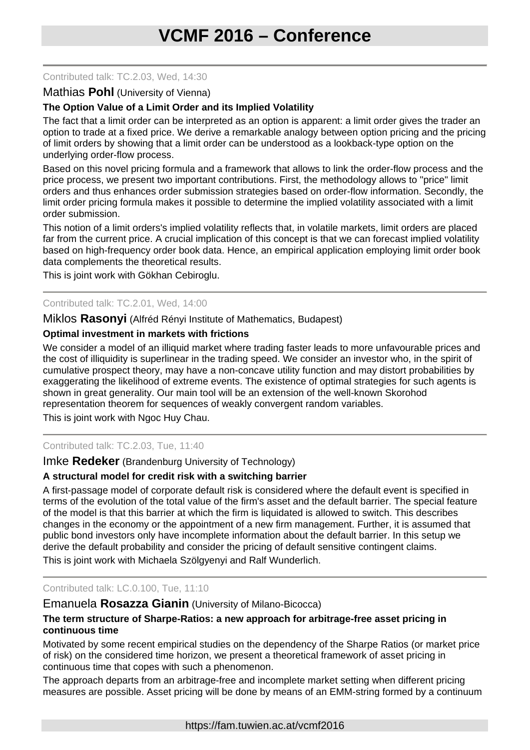#### Contributed talk: TC.2.03, Wed, 14:30

#### Mathias **Pohl** (University of Vienna)

# **The Option Value of a Limit Order and its Implied Volatility**

The fact that a limit order can be interpreted as an option is apparent: a limit order gives the trader an option to trade at a fixed price. We derive a remarkable analogy between option pricing and the pricing of limit orders by showing that a limit order can be understood as a lookback-type option on the underlying order-flow process.

Based on this novel pricing formula and a framework that allows to link the order-flow process and the price process, we present two important contributions. First, the methodology allows to "price" limit orders and thus enhances order submission strategies based on order-flow information. Secondly, the limit order pricing formula makes it possible to determine the implied volatility associated with a limit order submission.

This notion of a limit orders's implied volatility reflects that, in volatile markets, limit orders are placed far from the current price. A crucial implication of this concept is that we can forecast implied volatility based on high-frequency order book data. Hence, an empirical application employing limit order book data complements the theoretical results.

This is joint work with Gökhan Cebiroglu.

#### Contributed talk: TC.2.01, Wed, 14:00

Miklos **Rasonyi** (Alfréd Rényi Institute of Mathematics, Budapest)

#### **Optimal investment in markets with frictions**

We consider a model of an illiquid market where trading faster leads to more unfavourable prices and the cost of illiquidity is superlinear in the trading speed. We consider an investor who, in the spirit of cumulative prospect theory, may have a non-concave utility function and may distort probabilities by exaggerating the likelihood of extreme events. The existence of optimal strategies for such agents is shown in great generality. Our main tool will be an extension of the well-known Skorohod representation theorem for sequences of weakly convergent random variables.

This is joint work with Ngoc Huy Chau.

#### Contributed talk: TC.2.03, Tue, 11:40

#### Imke **Redeker** (Brandenburg University of Technology)

#### **A structural model for credit risk with a switching barrier**

A first-passage model of corporate default risk is considered where the default event is specified in terms of the evolution of the total value of the firm's asset and the default barrier. The special feature of the model is that this barrier at which the firm is liquidated is allowed to switch. This describes changes in the economy or the appointment of a new firm management. Further, it is assumed that public bond investors only have incomplete information about the default barrier. In this setup we derive the default probability and consider the pricing of default sensitive contingent claims.

This is joint work with Michaela Szölgyenyi and Ralf Wunderlich.

#### Contributed talk: LC.0.100, Tue, 11:10

# Emanuela **Rosazza Gianin** (University of Milano-Bicocca)

#### **The term structure of Sharpe-Ratios: a new approach for arbitrage-free asset pricing in continuous time**

Motivated by some recent empirical studies on the dependency of the Sharpe Ratios (or market price of risk) on the considered time horizon, we present a theoretical framework of asset pricing in continuous time that copes with such a phenomenon.

The approach departs from an arbitrage-free and incomplete market setting when different pricing measures are possible. Asset pricing will be done by means of an EMM-string formed by a continuum

https://fam.tuwien.ac.at/vcmf2016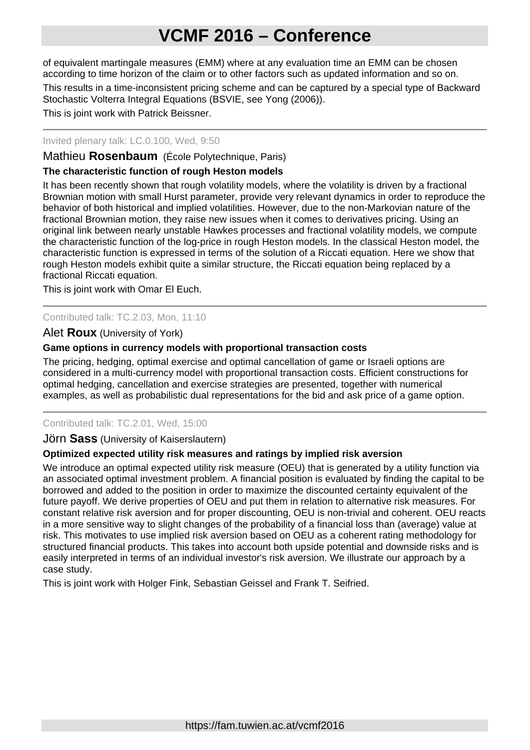of equivalent martingale measures (EMM) where at any evaluation time an EMM can be chosen according to time horizon of the claim or to other factors such as updated information and so on.

This results in a time-inconsistent pricing scheme and can be captured by a special type of Backward Stochastic Volterra Integral Equations (BSVIE, see Yong (2006)).

This is joint work with Patrick Beissner.

### Invited plenary talk: LC.0.100, Wed, 9:50

Mathieu **Rosenbaum** (École Polytechnique, Paris)

# **The characteristic function of rough Heston models**

It has been recently shown that rough volatility models, where the volatility is driven by a fractional Brownian motion with small Hurst parameter, provide very relevant dynamics in order to reproduce the behavior of both historical and implied volatilities. However, due to the non-Markovian nature of the fractional Brownian motion, they raise new issues when it comes to derivatives pricing. Using an original link between nearly unstable Hawkes processes and fractional volatility models, we compute the characteristic function of the log-price in rough Heston models. In the classical Heston model, the characteristic function is expressed in terms of the solution of a Riccati equation. Here we show that rough Heston models exhibit quite a similar structure, the Riccati equation being replaced by a fractional Riccati equation.

This is joint work with Omar El Euch.

# Contributed talk: TC.2.03, Mon, 11:10

# Alet **Roux** (University of York)

#### **Game options in currency models with proportional transaction costs**

The pricing, hedging, optimal exercise and optimal cancellation of game or Israeli options are considered in a multi-currency model with proportional transaction costs. Efficient constructions for optimal hedging, cancellation and exercise strategies are presented, together with numerical examples, as well as probabilistic dual representations for the bid and ask price of a game option.

#### Contributed talk: TC.2.01, Wed, 15:00

#### Jörn **Sass** (University of Kaiserslautern)

#### **Optimized expected utility risk measures and ratings by implied risk aversion**

We introduce an optimal expected utility risk measure (OEU) that is generated by a utility function via an associated optimal investment problem. A financial position is evaluated by finding the capital to be borrowed and added to the position in order to maximize the discounted certainty equivalent of the future payoff. We derive properties of OEU and put them in relation to alternative risk measures. For constant relative risk aversion and for proper discounting, OEU is non-trivial and coherent. OEU reacts in a more sensitive way to slight changes of the probability of a financial loss than (average) value at risk. This motivates to use implied risk aversion based on OEU as a coherent rating methodology for structured financial products. This takes into account both upside potential and downside risks and is easily interpreted in terms of an individual investor's risk aversion. We illustrate our approach by a case study.

This is joint work with Holger Fink, Sebastian Geissel and Frank T. Seifried.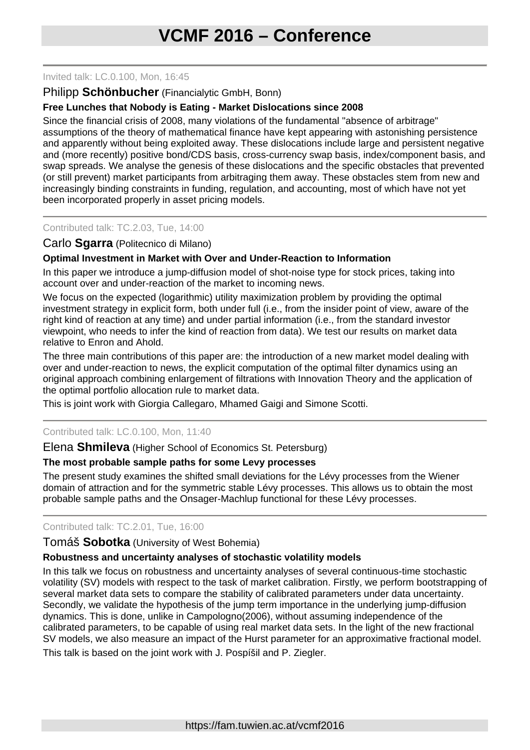#### Invited talk: LC.0.100, Mon, 16:45

# Philipp **Schönbucher** (Financialytic GmbH, Bonn)

# **Free Lunches that Nobody is Eating - Market Dislocations since 2008**

Since the financial crisis of 2008, many violations of the fundamental "absence of arbitrage" assumptions of the theory of mathematical finance have kept appearing with astonishing persistence and apparently without being exploited away. These dislocations include large and persistent negative and (more recently) positive bond/CDS basis, cross-currency swap basis, index/component basis, and swap spreads. We analyse the genesis of these dislocations and the specific obstacles that prevented (or still prevent) market participants from arbitraging them away. These obstacles stem from new and increasingly binding constraints in funding, regulation, and accounting, most of which have not yet been incorporated properly in asset pricing models.

Contributed talk: TC.2.03, Tue, 14:00

# Carlo **Sgarra** (Politecnico di Milano)

# **Optimal Investment in Market with Over and Under-Reaction to Information**

In this paper we introduce a jump-diffusion model of shot-noise type for stock prices, taking into account over and under-reaction of the market to incoming news.

We focus on the expected (logarithmic) utility maximization problem by providing the optimal investment strategy in explicit form, both under full (i.e., from the insider point of view, aware of the right kind of reaction at any time) and under partial information (i.e., from the standard investor viewpoint, who needs to infer the kind of reaction from data). We test our results on market data relative to Enron and Ahold.

The three main contributions of this paper are: the introduction of a new market model dealing with over and under-reaction to news, the explicit computation of the optimal filter dynamics using an original approach combining enlargement of filtrations with Innovation Theory and the application of the optimal portfolio allocation rule to market data.

This is joint work with Giorgia Callegaro, Mhamed Gaigi and Simone Scotti.

#### Contributed talk: LC.0.100, Mon, 11:40

Elena **Shmileva** (Higher School of Economics St. Petersburg)

#### **The most probable sample paths for some Levy processes**

The present study examines the shifted small deviations for the Lévy processes from the Wiener domain of attraction and for the symmetric stable Lévy processes. This allows us to obtain the most probable sample paths and the Onsager-Machlup functional for these Lévy processes.

#### Contributed talk: TC.2.01, Tue, 16:00

#### Tomáš **Sobotka** (University of West Bohemia)

#### **Robustness and uncertainty analyses of stochastic volatility models**

In this talk we focus on robustness and uncertainty analyses of several continuous-time stochastic volatility (SV) models with respect to the task of market calibration. Firstly, we perform bootstrapping of several market data sets to compare the stability of calibrated parameters under data uncertainty. Secondly, we validate the hypothesis of the jump term importance in the underlying jump-diffusion dynamics. This is done, unlike in Campologno(2006), without assuming independence of the calibrated parameters, to be capable of using real market data sets. In the light of the new fractional SV models, we also measure an impact of the Hurst parameter for an approximative fractional model. This talk is based on the joint work with J. Pospíšil and P. Ziegler.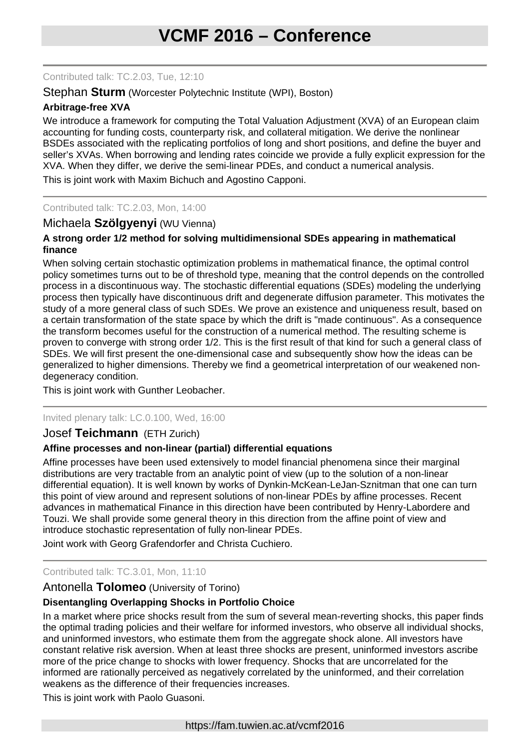Contributed talk: TC.2.03, Tue, 12:10

### Stephan **Sturm** (Worcester Polytechnic Institute (WPI), Boston)

# **Arbitrage-free XVA**

We introduce a framework for computing the Total Valuation Adjustment (XVA) of an European claim accounting for funding costs, counterparty risk, and collateral mitigation. We derive the nonlinear BSDEs associated with the replicating portfolios of long and short positions, and define the buyer and seller's XVAs. When borrowing and lending rates coincide we provide a fully explicit expression for the XVA. When they differ, we derive the semi-linear PDEs, and conduct a numerical analysis.

This is joint work with Maxim Bichuch and Agostino Capponi.

#### Contributed talk: TC.2.03, Mon, 14:00

# Michaela **Szölgyenyi** (WU Vienna)

### **A strong order 1/2 method for solving multidimensional SDEs appearing in mathematical finance**

When solving certain stochastic optimization problems in mathematical finance, the optimal control policy sometimes turns out to be of threshold type, meaning that the control depends on the controlled process in a discontinuous way. The stochastic differential equations (SDEs) modeling the underlying process then typically have discontinuous drift and degenerate diffusion parameter. This motivates the study of a more general class of such SDEs. We prove an existence and uniqueness result, based on a certain transformation of the state space by which the drift is "made continuous". As a consequence the transform becomes useful for the construction of a numerical method. The resulting scheme is proven to converge with strong order 1/2. This is the first result of that kind for such a general class of SDEs. We will first present the one-dimensional case and subsequently show how the ideas can be generalized to higher dimensions. Thereby we find a geometrical interpretation of our weakened nondegeneracy condition.

### This is joint work with Gunther Leobacher.

Invited plenary talk: LC.0.100, Wed, 16:00

#### Josef **Teichmann** (ETH Zurich)

#### **Affine processes and non-linear (partial) differential equations**

Affine processes have been used extensively to model financial phenomena since their marginal distributions are very tractable from an analytic point of view (up to the solution of a non-linear differential equation). It is well known by works of Dynkin-McKean-LeJan-Sznitman that one can turn this point of view around and represent solutions of non-linear PDEs by affine processes. Recent advances in mathematical Finance in this direction have been contributed by Henry-Labordere and Touzi. We shall provide some general theory in this direction from the affine point of view and introduce stochastic representation of fully non-linear PDEs.

Joint work with Georg Grafendorfer and Christa Cuchiero.

#### Contributed talk: TC.3.01, Mon, 11:10

### Antonella **Tolomeo** (University of Torino)

#### **Disentangling Overlapping Shocks in Portfolio Choice**

In a market where price shocks result from the sum of several mean-reverting shocks, this paper finds the optimal trading policies and their welfare for informed investors, who observe all individual shocks, and uninformed investors, who estimate them from the aggregate shock alone. All investors have constant relative risk aversion. When at least three shocks are present, uninformed investors ascribe more of the price change to shocks with lower frequency. Shocks that are uncorrelated for the informed are rationally perceived as negatively correlated by the uninformed, and their correlation weakens as the difference of their frequencies increases.

This is joint work with Paolo Guasoni.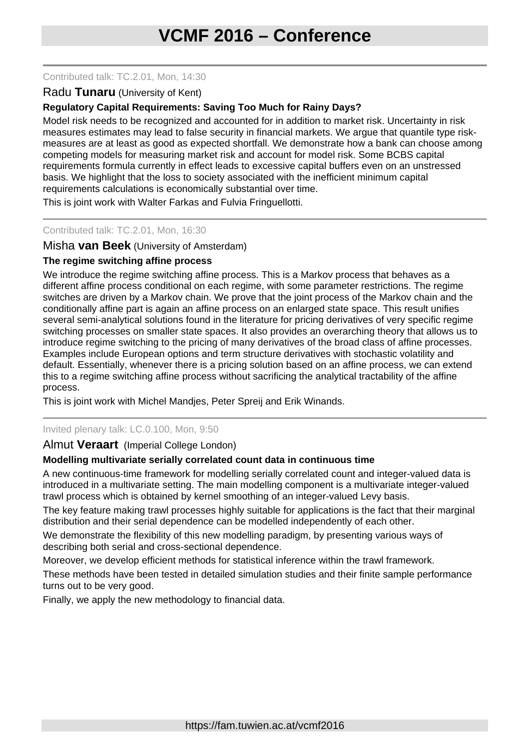#### Contributed talk: TC.2.01, Mon, 14:30

### Radu **Tunaru** (University of Kent)

# **Regulatory Capital Requirements: Saving Too Much for Rainy Days?**

Model risk needs to be recognized and accounted for in addition to market risk. Uncertainty in risk measures estimates may lead to false security in financial markets. We argue that quantile type riskmeasures are at least as good as expected shortfall. We demonstrate how a bank can choose among competing models for measuring market risk and account for model risk. Some BCBS capital requirements formula currently in effect leads to excessive capital buffers even on an unstressed basis. We highlight that the loss to society associated with the inefficient minimum capital requirements calculations is economically substantial over time.

This is joint work with Walter Farkas and Fulvia Fringuellotti.

#### Contributed talk: TC.2.01, Mon, 16:30

# Misha **van Beek** (University of Amsterdam)

#### **The regime switching affine process**

We introduce the regime switching affine process. This is a Markov process that behaves as a different affine process conditional on each regime, with some parameter restrictions. The regime switches are driven by a Markov chain. We prove that the joint process of the Markov chain and the conditionally affine part is again an affine process on an enlarged state space. This result unifies several semi-analytical solutions found in the literature for pricing derivatives of very specific regime switching processes on smaller state spaces. It also provides an overarching theory that allows us to introduce regime switching to the pricing of many derivatives of the broad class of affine processes. Examples include European options and term structure derivatives with stochastic volatility and default. Essentially, whenever there is a pricing solution based on an affine process, we can extend this to a regime switching affine process without sacrificing the analytical tractability of the affine process.

This is joint work with Michel Mandjes, Peter Spreij and Erik Winands.

#### Invited plenary talk: LC.0.100, Mon, 9:50

#### Almut **Veraart** (Imperial College London)

#### **Modelling multivariate serially correlated count data in continuous time**

A new continuous-time framework for modelling serially correlated count and integer-valued data is introduced in a multivariate setting. The main modelling component is a multivariate integer-valued trawl process which is obtained by kernel smoothing of an integer-valued Levy basis.

The key feature making trawl processes highly suitable for applications is the fact that their marginal distribution and their serial dependence can be modelled independently of each other.

We demonstrate the flexibility of this new modelling paradigm, by presenting various ways of describing both serial and cross-sectional dependence.

Moreover, we develop efficient methods for statistical inference within the trawl framework.

These methods have been tested in detailed simulation studies and their finite sample performance turns out to be very good.

Finally, we apply the new methodology to financial data.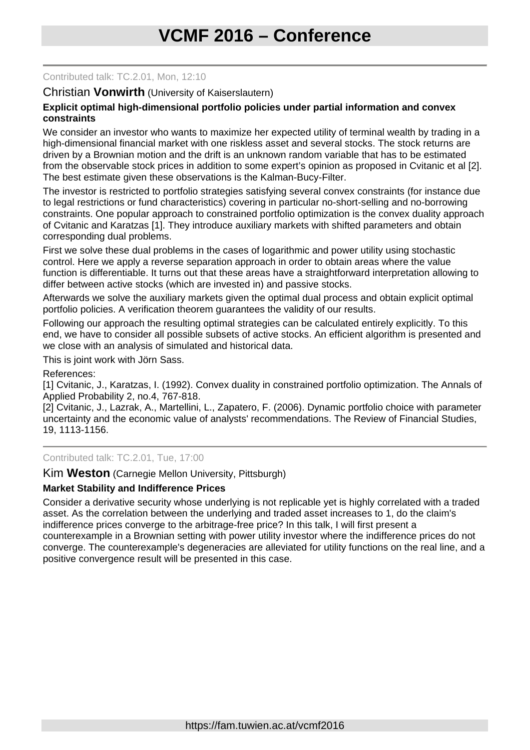#### Contributed talk: TC.2.01, Mon, 12:10

# Christian **Vonwirth** (University of Kaiserslautern)

#### **Explicit optimal high-dimensional portfolio policies under partial information and convex constraints**

We consider an investor who wants to maximize her expected utility of terminal wealth by trading in a high-dimensional financial market with one riskless asset and several stocks. The stock returns are driven by a Brownian motion and the drift is an unknown random variable that has to be estimated from the observable stock prices in addition to some expert's opinion as proposed in Cvitanic et al [2]. The best estimate given these observations is the Kalman-Bucy-Filter.

The investor is restricted to portfolio strategies satisfying several convex constraints (for instance due to legal restrictions or fund characteristics) covering in particular no-short-selling and no-borrowing constraints. One popular approach to constrained portfolio optimization is the convex duality approach of Cvitanic and Karatzas [1]. They introduce auxiliary markets with shifted parameters and obtain corresponding dual problems.

First we solve these dual problems in the cases of logarithmic and power utility using stochastic control. Here we apply a reverse separation approach in order to obtain areas where the value function is differentiable. It turns out that these areas have a straightforward interpretation allowing to differ between active stocks (which are invested in) and passive stocks.

Afterwards we solve the auxiliary markets given the optimal dual process and obtain explicit optimal portfolio policies. A verification theorem guarantees the validity of our results.

Following our approach the resulting optimal strategies can be calculated entirely explicitly. To this end, we have to consider all possible subsets of active stocks. An efficient algorithm is presented and we close with an analysis of simulated and historical data.

This is joint work with Jörn Sass.

References:

[1] Cvitanic, J., Karatzas, I. (1992). Convex duality in constrained portfolio optimization. The Annals of Applied Probability 2, no.4, 767-818.

[2] Cvitanic, J., Lazrak, A., Martellini, L., Zapatero, F. (2006). Dynamic portfolio choice with parameter uncertainty and the economic value of analysts' recommendations. The Review of Financial Studies, 19, 1113-1156.

#### Contributed talk: TC.2.01, Tue, 17:00

Kim **Weston** (Carnegie Mellon University, Pittsburgh)

#### **Market Stability and Indifference Prices**

Consider a derivative security whose underlying is not replicable yet is highly correlated with a traded asset. As the correlation between the underlying and traded asset increases to 1, do the claim's indifference prices converge to the arbitrage-free price? In this talk, I will first present a counterexample in a Brownian setting with power utility investor where the indifference prices do not converge. The counterexample's degeneracies are alleviated for utility functions on the real line, and a positive convergence result will be presented in this case.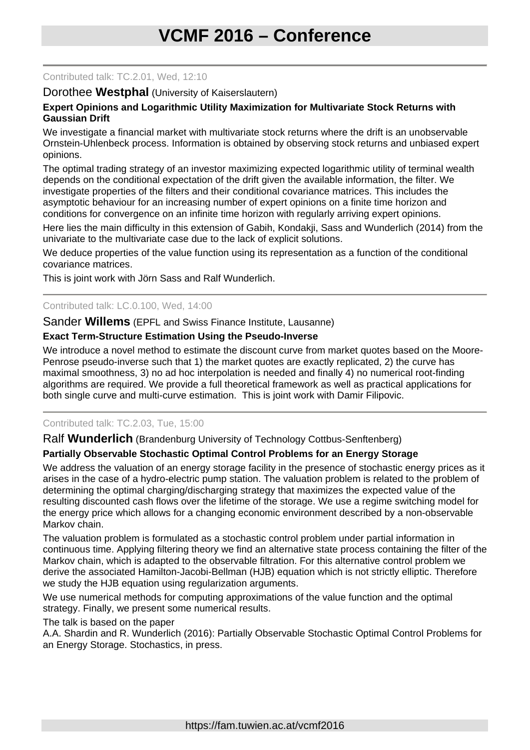#### Contributed talk: TC.2.01, Wed, 12:10

#### Dorothee **Westphal** (University of Kaiserslautern)

#### **Expert Opinions and Logarithmic Utility Maximization for Multivariate Stock Returns with Gaussian Drift**

We investigate a financial market with multivariate stock returns where the drift is an unobservable Ornstein-Uhlenbeck process. Information is obtained by observing stock returns and unbiased expert opinions.

The optimal trading strategy of an investor maximizing expected logarithmic utility of terminal wealth depends on the conditional expectation of the drift given the available information, the filter. We investigate properties of the filters and their conditional covariance matrices. This includes the asymptotic behaviour for an increasing number of expert opinions on a finite time horizon and conditions for convergence on an infinite time horizon with regularly arriving expert opinions.

Here lies the main difficulty in this extension of Gabih, Kondakji, Sass and Wunderlich (2014) from the univariate to the multivariate case due to the lack of explicit solutions.

We deduce properties of the value function using its representation as a function of the conditional covariance matrices.

This is joint work with Jörn Sass and Ralf Wunderlich.

Contributed talk: LC.0.100, Wed, 14:00

Sander **Willems** (EPFL and Swiss Finance Institute, Lausanne)

#### **Exact Term-Structure Estimation Using the Pseudo-Inverse**

We introduce a novel method to estimate the discount curve from market quotes based on the Moore-Penrose pseudo-inverse such that 1) the market quotes are exactly replicated, 2) the curve has maximal smoothness, 3) no ad hoc interpolation is needed and finally 4) no numerical root-finding algorithms are required. We provide a full theoretical framework as well as practical applications for both single curve and multi-curve estimation. This is joint work with Damir Filipovic.

#### Contributed talk: TC.2.03, Tue, 15:00

Ralf **Wunderlich** (Brandenburg University of Technology Cottbus-Senftenberg)

#### **Partially Observable Stochastic Optimal Control Problems for an Energy Storage**

We address the valuation of an energy storage facility in the presence of stochastic energy prices as it arises in the case of a hydro-electric pump station. The valuation problem is related to the problem of determining the optimal charging/discharging strategy that maximizes the expected value of the resulting discounted cash flows over the lifetime of the storage. We use a regime switching model for the energy price which allows for a changing economic environment described by a non-observable Markov chain.

The valuation problem is formulated as a stochastic control problem under partial information in continuous time. Applying filtering theory we find an alternative state process containing the filter of the Markov chain, which is adapted to the observable filtration. For this alternative control problem we derive the associated Hamilton-Jacobi-Bellman (HJB) equation which is not strictly elliptic. Therefore we study the HJB equation using regularization arguments.

We use numerical methods for computing approximations of the value function and the optimal strategy. Finally, we present some numerical results.

The talk is based on the paper

A.A. Shardin and R. Wunderlich (2016): Partially Observable Stochastic Optimal Control Problems for an Energy Storage. Stochastics, in press.